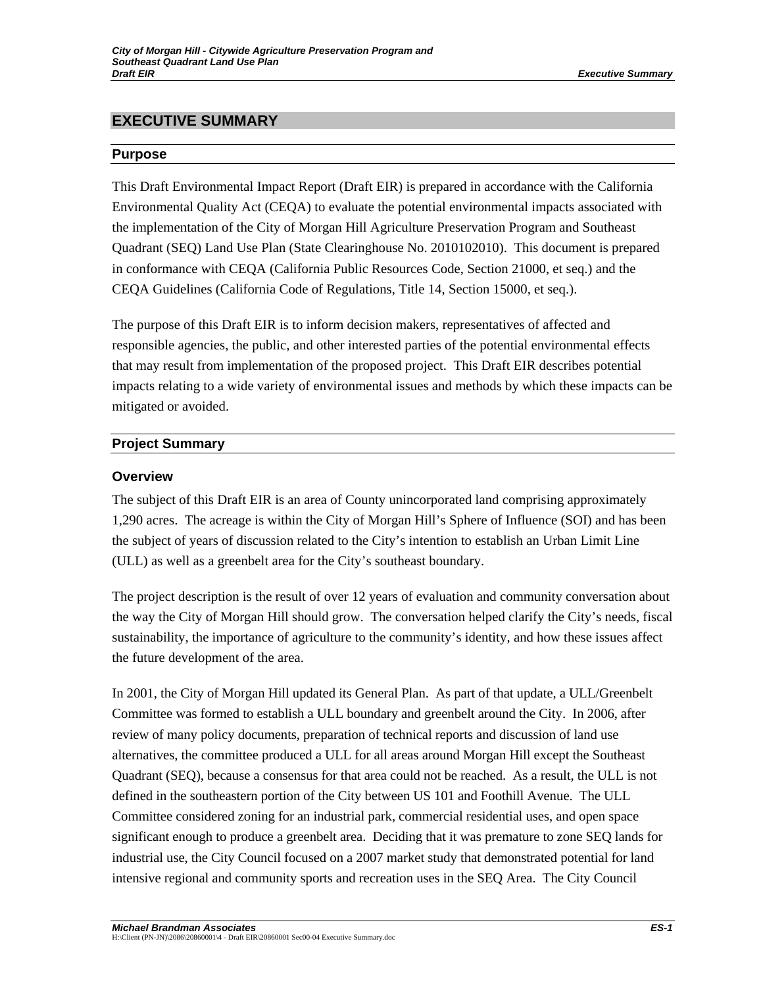# **EXECUTIVE SUMMARY**

#### **Purpose**

This Draft Environmental Impact Report (Draft EIR) is prepared in accordance with the California Environmental Quality Act (CEQA) to evaluate the potential environmental impacts associated with the implementation of the City of Morgan Hill Agriculture Preservation Program and Southeast Quadrant (SEQ) Land Use Plan (State Clearinghouse No. 2010102010). This document is prepared in conformance with CEQA (California Public Resources Code, Section 21000, et seq.) and the CEQA Guidelines (California Code of Regulations, Title 14, Section 15000, et seq.).

The purpose of this Draft EIR is to inform decision makers, representatives of affected and responsible agencies, the public, and other interested parties of the potential environmental effects that may result from implementation of the proposed project. This Draft EIR describes potential impacts relating to a wide variety of environmental issues and methods by which these impacts can be mitigated or avoided.

## **Project Summary**

## **Overview**

The subject of this Draft EIR is an area of County unincorporated land comprising approximately 1,290 acres. The acreage is within the City of Morgan Hill's Sphere of Influence (SOI) and has been the subject of years of discussion related to the City's intention to establish an Urban Limit Line (ULL) as well as a greenbelt area for the City's southeast boundary.

The project description is the result of over 12 years of evaluation and community conversation about the way the City of Morgan Hill should grow. The conversation helped clarify the City's needs, fiscal sustainability, the importance of agriculture to the community's identity, and how these issues affect the future development of the area.

In 2001, the City of Morgan Hill updated its General Plan. As part of that update, a ULL/Greenbelt Committee was formed to establish a ULL boundary and greenbelt around the City. In 2006, after review of many policy documents, preparation of technical reports and discussion of land use alternatives, the committee produced a ULL for all areas around Morgan Hill except the Southeast Quadrant (SEQ), because a consensus for that area could not be reached. As a result, the ULL is not defined in the southeastern portion of the City between US 101 and Foothill Avenue. The ULL Committee considered zoning for an industrial park, commercial residential uses, and open space significant enough to produce a greenbelt area. Deciding that it was premature to zone SEQ lands for industrial use, the City Council focused on a 2007 market study that demonstrated potential for land intensive regional and community sports and recreation uses in the SEQ Area. The City Council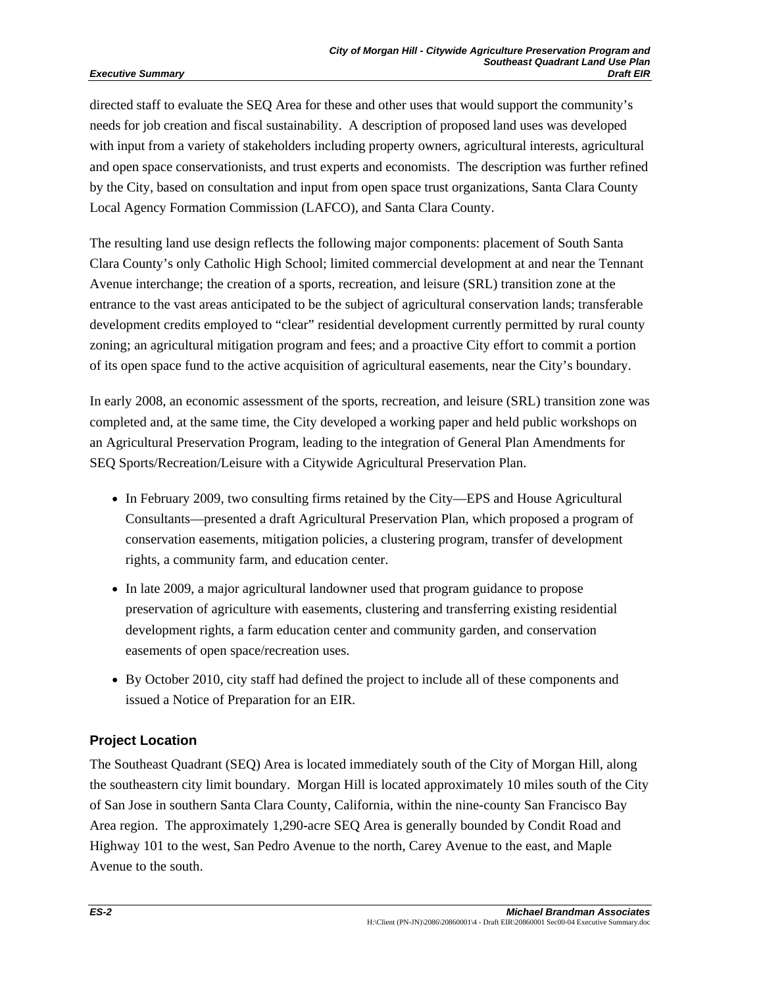#### *Executive Summary*

directed staff to evaluate the SEQ Area for these and other uses that would support the community's needs for job creation and fiscal sustainability. A description of proposed land uses was developed with input from a variety of stakeholders including property owners, agricultural interests, agricultural and open space conservationists, and trust experts and economists. The description was further refined by the City, based on consultation and input from open space trust organizations, Santa Clara County Local Agency Formation Commission (LAFCO), and Santa Clara County.

The resulting land use design reflects the following major components: placement of South Santa Clara County's only Catholic High School; limited commercial development at and near the Tennant Avenue interchange; the creation of a sports, recreation, and leisure (SRL) transition zone at the entrance to the vast areas anticipated to be the subject of agricultural conservation lands; transferable development credits employed to "clear" residential development currently permitted by rural county zoning; an agricultural mitigation program and fees; and a proactive City effort to commit a portion of its open space fund to the active acquisition of agricultural easements, near the City's boundary.

In early 2008, an economic assessment of the sports, recreation, and leisure (SRL) transition zone was completed and, at the same time, the City developed a working paper and held public workshops on an Agricultural Preservation Program, leading to the integration of General Plan Amendments for SEQ Sports/Recreation/Leisure with a Citywide Agricultural Preservation Plan.

- In February 2009, two consulting firms retained by the City—EPS and House Agricultural Consultants—presented a draft Agricultural Preservation Plan, which proposed a program of conservation easements, mitigation policies, a clustering program, transfer of development rights, a community farm, and education center.
- In late 2009, a major agricultural landowner used that program guidance to propose preservation of agriculture with easements, clustering and transferring existing residential development rights, a farm education center and community garden, and conservation easements of open space/recreation uses.
- By October 2010, city staff had defined the project to include all of these components and issued a Notice of Preparation for an EIR.

## **Project Location**

The Southeast Quadrant (SEQ) Area is located immediately south of the City of Morgan Hill, along the southeastern city limit boundary. Morgan Hill is located approximately 10 miles south of the City of San Jose in southern Santa Clara County, California, within the nine-county San Francisco Bay Area region. The approximately 1,290-acre SEQ Area is generally bounded by Condit Road and Highway 101 to the west, San Pedro Avenue to the north, Carey Avenue to the east, and Maple Avenue to the south.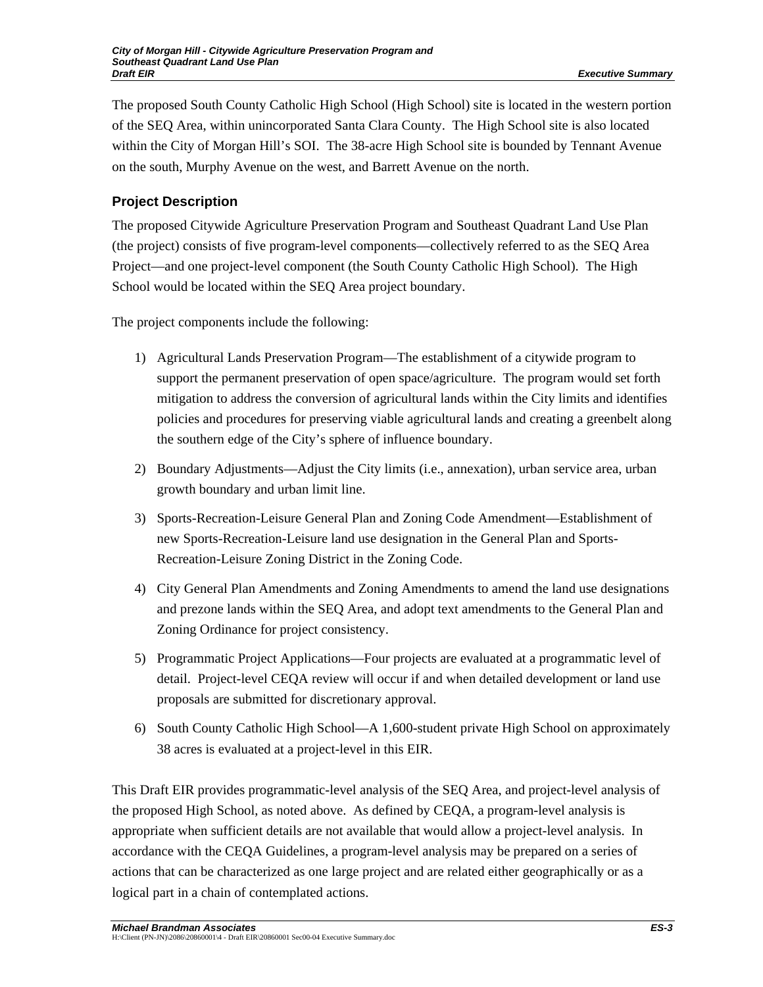The proposed South County Catholic High School (High School) site is located in the western portion of the SEQ Area, within unincorporated Santa Clara County. The High School site is also located within the City of Morgan Hill's SOI. The 38-acre High School site is bounded by Tennant Avenue on the south, Murphy Avenue on the west, and Barrett Avenue on the north.

# **Project Description**

The proposed Citywide Agriculture Preservation Program and Southeast Quadrant Land Use Plan (the project) consists of five program-level components—collectively referred to as the SEQ Area Project—and one project-level component (the South County Catholic High School). The High School would be located within the SEQ Area project boundary.

The project components include the following:

- 1) Agricultural Lands Preservation Program—The establishment of a citywide program to support the permanent preservation of open space/agriculture. The program would set forth mitigation to address the conversion of agricultural lands within the City limits and identifies policies and procedures for preserving viable agricultural lands and creating a greenbelt along the southern edge of the City's sphere of influence boundary.
- 2) Boundary Adjustments—Adjust the City limits (i.e., annexation), urban service area, urban growth boundary and urban limit line.
- 3) Sports-Recreation-Leisure General Plan and Zoning Code Amendment—Establishment of new Sports-Recreation-Leisure land use designation in the General Plan and Sports-Recreation-Leisure Zoning District in the Zoning Code.
- 4) City General Plan Amendments and Zoning Amendments to amend the land use designations and prezone lands within the SEQ Area, and adopt text amendments to the General Plan and Zoning Ordinance for project consistency.
- 5) Programmatic Project Applications—Four projects are evaluated at a programmatic level of detail. Project-level CEQA review will occur if and when detailed development or land use proposals are submitted for discretionary approval.
- 6) South County Catholic High School—A 1,600-student private High School on approximately 38 acres is evaluated at a project-level in this EIR.

This Draft EIR provides programmatic-level analysis of the SEQ Area, and project-level analysis of the proposed High School, as noted above. As defined by CEQA, a program-level analysis is appropriate when sufficient details are not available that would allow a project-level analysis. In accordance with the CEQA Guidelines, a program-level analysis may be prepared on a series of actions that can be characterized as one large project and are related either geographically or as a logical part in a chain of contemplated actions.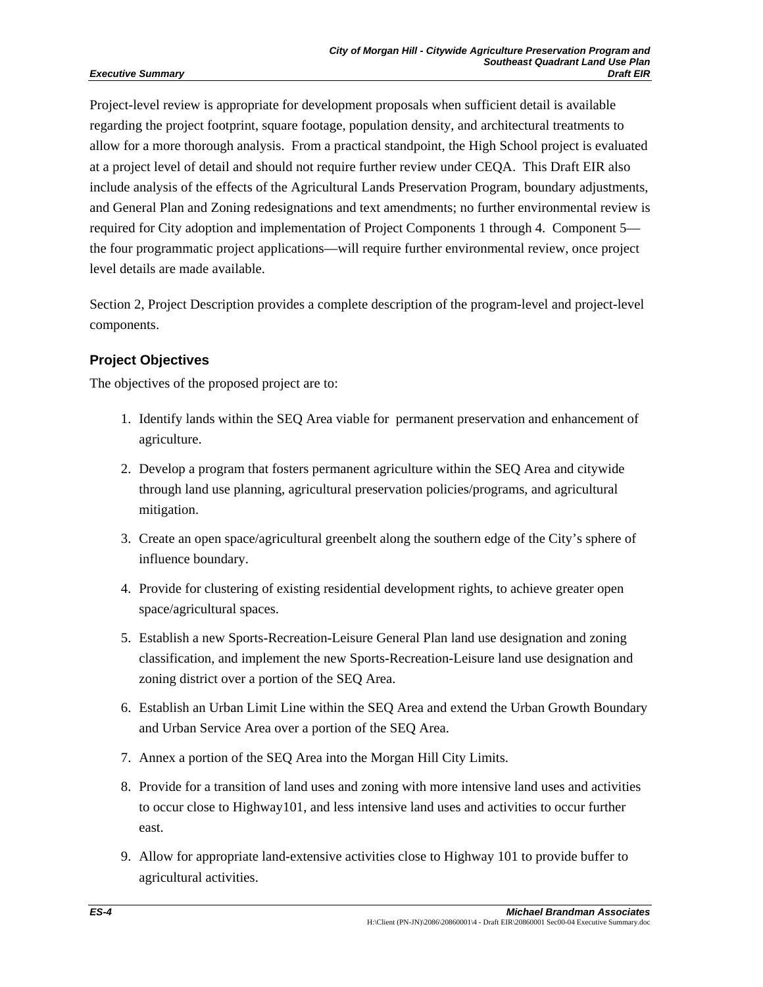#### *Executive Summary*

Project-level review is appropriate for development proposals when sufficient detail is available regarding the project footprint, square footage, population density, and architectural treatments to allow for a more thorough analysis. From a practical standpoint, the High School project is evaluated at a project level of detail and should not require further review under CEQA. This Draft EIR also include analysis of the effects of the Agricultural Lands Preservation Program, boundary adjustments, and General Plan and Zoning redesignations and text amendments; no further environmental review is required for City adoption and implementation of Project Components 1 through 4. Component 5 the four programmatic project applications—will require further environmental review, once project level details are made available.

Section 2, Project Description provides a complete description of the program-level and project-level components.

### **Project Objectives**

The objectives of the proposed project are to:

- 1. Identify lands within the SEQ Area viable for permanent preservation and enhancement of agriculture.
- 2. Develop a program that fosters permanent agriculture within the SEQ Area and citywide through land use planning, agricultural preservation policies/programs, and agricultural mitigation.
- 3. Create an open space/agricultural greenbelt along the southern edge of the City's sphere of influence boundary.
- 4. Provide for clustering of existing residential development rights, to achieve greater open space/agricultural spaces.
- 5. Establish a new Sports-Recreation-Leisure General Plan land use designation and zoning classification, and implement the new Sports-Recreation-Leisure land use designation and zoning district over a portion of the SEQ Area.
- 6. Establish an Urban Limit Line within the SEQ Area and extend the Urban Growth Boundary and Urban Service Area over a portion of the SEQ Area.
- 7. Annex a portion of the SEQ Area into the Morgan Hill City Limits.
- 8. Provide for a transition of land uses and zoning with more intensive land uses and activities to occur close to Highway101, and less intensive land uses and activities to occur further east.
- 9. Allow for appropriate land-extensive activities close to Highway 101 to provide buffer to agricultural activities.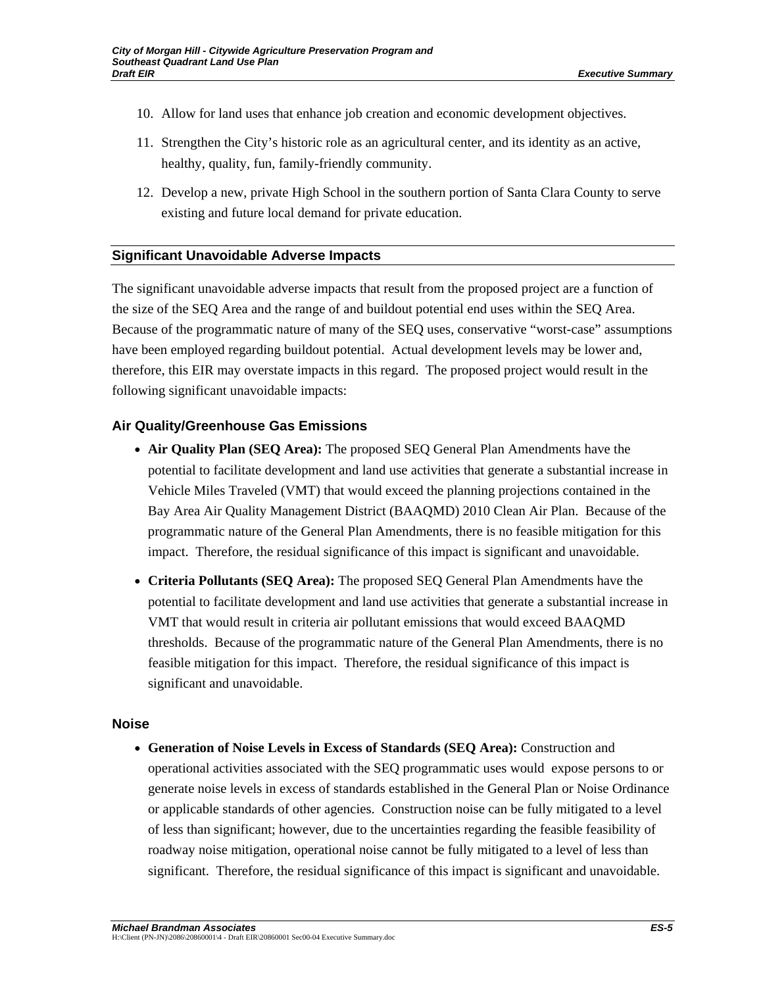- 10. Allow for land uses that enhance job creation and economic development objectives.
- 11. Strengthen the City's historic role as an agricultural center, and its identity as an active, healthy, quality, fun, family-friendly community.
- 12. Develop a new, private High School in the southern portion of Santa Clara County to serve existing and future local demand for private education.

#### **Significant Unavoidable Adverse Impacts**

The significant unavoidable adverse impacts that result from the proposed project are a function of the size of the SEQ Area and the range of and buildout potential end uses within the SEQ Area. Because of the programmatic nature of many of the SEQ uses, conservative "worst-case" assumptions have been employed regarding buildout potential. Actual development levels may be lower and, therefore, this EIR may overstate impacts in this regard. The proposed project would result in the following significant unavoidable impacts:

#### **Air Quality/Greenhouse Gas Emissions**

- **Air Quality Plan (SEQ Area):** The proposed SEQ General Plan Amendments have the potential to facilitate development and land use activities that generate a substantial increase in Vehicle Miles Traveled (VMT) that would exceed the planning projections contained in the Bay Area Air Quality Management District (BAAQMD) 2010 Clean Air Plan. Because of the programmatic nature of the General Plan Amendments, there is no feasible mitigation for this impact. Therefore, the residual significance of this impact is significant and unavoidable.
- **Criteria Pollutants (SEQ Area):** The proposed SEQ General Plan Amendments have the potential to facilitate development and land use activities that generate a substantial increase in VMT that would result in criteria air pollutant emissions that would exceed BAAQMD thresholds. Because of the programmatic nature of the General Plan Amendments, there is no feasible mitigation for this impact. Therefore, the residual significance of this impact is significant and unavoidable.

#### **Noise**

• **Generation of Noise Levels in Excess of Standards (SEQ Area):** Construction and operational activities associated with the SEQ programmatic uses would expose persons to or generate noise levels in excess of standards established in the General Plan or Noise Ordinance or applicable standards of other agencies. Construction noise can be fully mitigated to a level of less than significant; however, due to the uncertainties regarding the feasible feasibility of roadway noise mitigation, operational noise cannot be fully mitigated to a level of less than significant. Therefore, the residual significance of this impact is significant and unavoidable.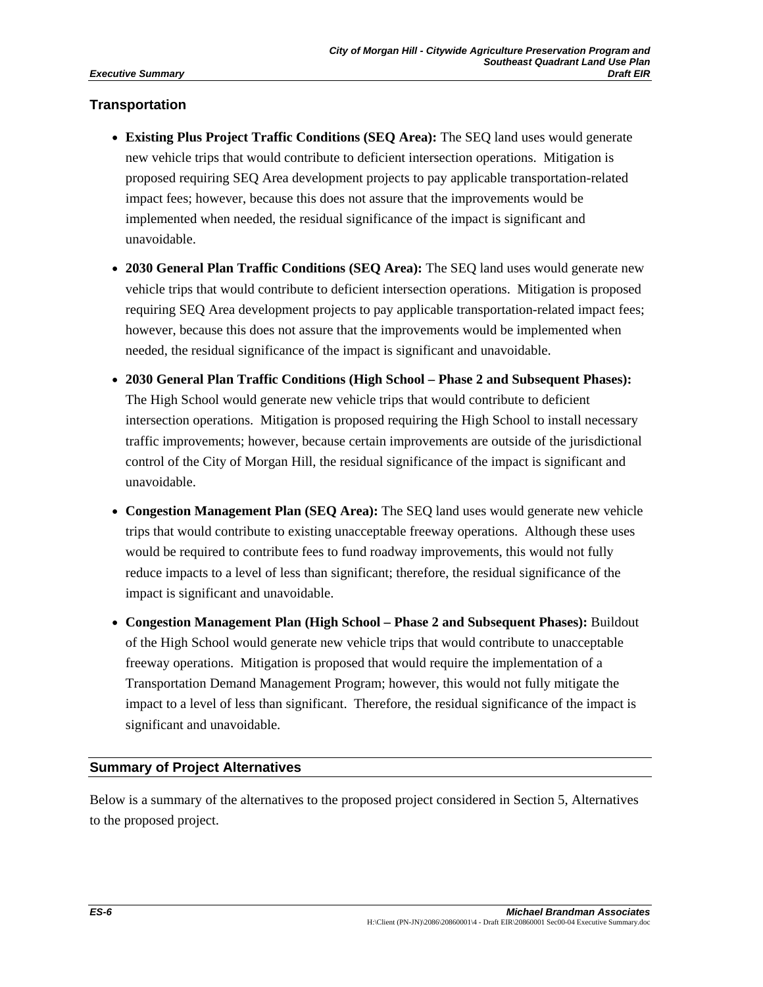### **Transportation**

- **Existing Plus Project Traffic Conditions (SEQ Area):** The SEQ land uses would generate new vehicle trips that would contribute to deficient intersection operations. Mitigation is proposed requiring SEQ Area development projects to pay applicable transportation-related impact fees; however, because this does not assure that the improvements would be implemented when needed, the residual significance of the impact is significant and unavoidable.
- **2030 General Plan Traffic Conditions (SEQ Area):** The SEQ land uses would generate new vehicle trips that would contribute to deficient intersection operations. Mitigation is proposed requiring SEQ Area development projects to pay applicable transportation-related impact fees; however, because this does not assure that the improvements would be implemented when needed, the residual significance of the impact is significant and unavoidable.
- **2030 General Plan Traffic Conditions (High School Phase 2 and Subsequent Phases):**  The High School would generate new vehicle trips that would contribute to deficient intersection operations. Mitigation is proposed requiring the High School to install necessary traffic improvements; however, because certain improvements are outside of the jurisdictional control of the City of Morgan Hill, the residual significance of the impact is significant and unavoidable.
- **Congestion Management Plan (SEQ Area):** The SEQ land uses would generate new vehicle trips that would contribute to existing unacceptable freeway operations. Although these uses would be required to contribute fees to fund roadway improvements, this would not fully reduce impacts to a level of less than significant; therefore, the residual significance of the impact is significant and unavoidable.
- **Congestion Management Plan (High School Phase 2 and Subsequent Phases):** Buildout of the High School would generate new vehicle trips that would contribute to unacceptable freeway operations. Mitigation is proposed that would require the implementation of a Transportation Demand Management Program; however, this would not fully mitigate the impact to a level of less than significant. Therefore, the residual significance of the impact is significant and unavoidable.

#### **Summary of Project Alternatives**

Below is a summary of the alternatives to the proposed project considered in Section 5, Alternatives to the proposed project.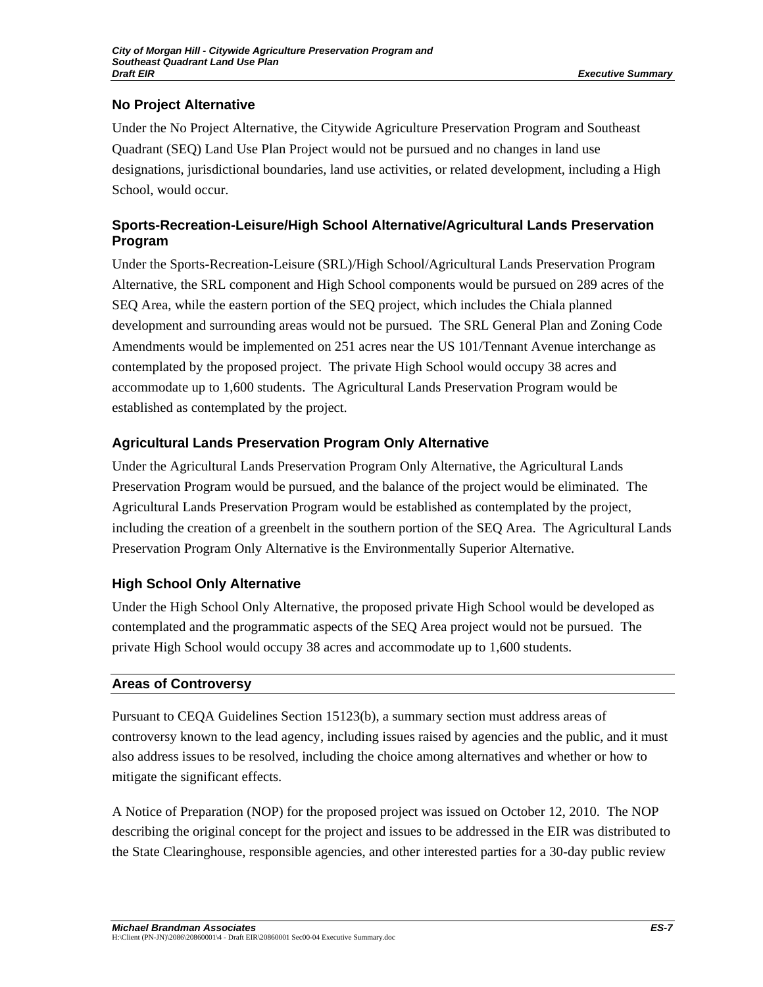# **No Project Alternative**

Under the No Project Alternative, the Citywide Agriculture Preservation Program and Southeast Quadrant (SEQ) Land Use Plan Project would not be pursued and no changes in land use designations, jurisdictional boundaries, land use activities, or related development, including a High School, would occur.

# **Sports-Recreation-Leisure/High School Alternative/Agricultural Lands Preservation Program**

Under the Sports-Recreation-Leisure (SRL)/High School/Agricultural Lands Preservation Program Alternative, the SRL component and High School components would be pursued on 289 acres of the SEQ Area, while the eastern portion of the SEQ project, which includes the Chiala planned development and surrounding areas would not be pursued. The SRL General Plan and Zoning Code Amendments would be implemented on 251 acres near the US 101/Tennant Avenue interchange as contemplated by the proposed project. The private High School would occupy 38 acres and accommodate up to 1,600 students. The Agricultural Lands Preservation Program would be established as contemplated by the project.

# **Agricultural Lands Preservation Program Only Alternative**

Under the Agricultural Lands Preservation Program Only Alternative, the Agricultural Lands Preservation Program would be pursued, and the balance of the project would be eliminated. The Agricultural Lands Preservation Program would be established as contemplated by the project, including the creation of a greenbelt in the southern portion of the SEQ Area. The Agricultural Lands Preservation Program Only Alternative is the Environmentally Superior Alternative.

# **High School Only Alternative**

Under the High School Only Alternative, the proposed private High School would be developed as contemplated and the programmatic aspects of the SEQ Area project would not be pursued. The private High School would occupy 38 acres and accommodate up to 1,600 students.

## **Areas of Controversy**

Pursuant to CEQA Guidelines Section 15123(b), a summary section must address areas of controversy known to the lead agency, including issues raised by agencies and the public, and it must also address issues to be resolved, including the choice among alternatives and whether or how to mitigate the significant effects.

A Notice of Preparation (NOP) for the proposed project was issued on October 12, 2010. The NOP describing the original concept for the project and issues to be addressed in the EIR was distributed to the State Clearinghouse, responsible agencies, and other interested parties for a 30-day public review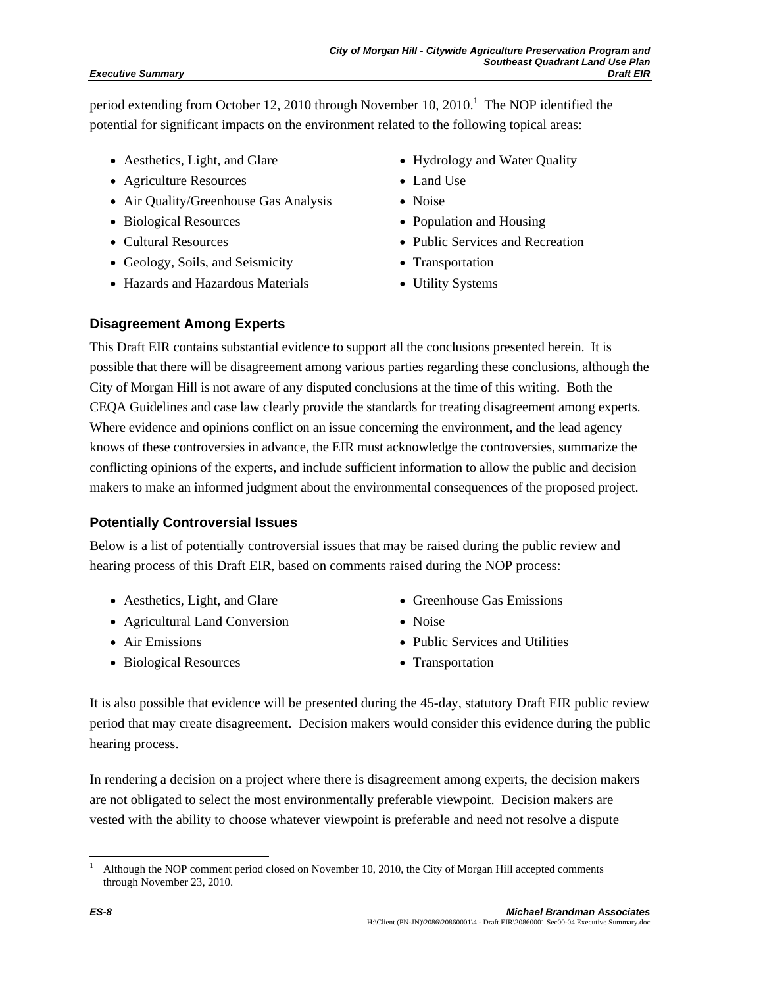#### *Executive Summary*

period extending from October 12, 2010 through November 10, 2010.<sup>1</sup> The NOP identified the potential for significant impacts on the environment related to the following topical areas:

- Aesthetics, Light, and Glare
- Agriculture Resources
- Air Quality/Greenhouse Gas Analysis
- Biological Resources
- Cultural Resources
- Geology, Soils, and Seismicity
- Hazards and Hazardous Materials
- Hydrology and Water Quality
- Land Use
- Noise
- Population and Housing
- Public Services and Recreation
- Transportation
- Utility Systems

### **Disagreement Among Experts**

This Draft EIR contains substantial evidence to support all the conclusions presented herein. It is possible that there will be disagreement among various parties regarding these conclusions, although the City of Morgan Hill is not aware of any disputed conclusions at the time of this writing. Both the CEQA Guidelines and case law clearly provide the standards for treating disagreement among experts. Where evidence and opinions conflict on an issue concerning the environment, and the lead agency knows of these controversies in advance, the EIR must acknowledge the controversies, summarize the conflicting opinions of the experts, and include sufficient information to allow the public and decision makers to make an informed judgment about the environmental consequences of the proposed project.

#### **Potentially Controversial Issues**

Below is a list of potentially controversial issues that may be raised during the public review and hearing process of this Draft EIR, based on comments raised during the NOP process:

- Aesthetics, Light, and Glare
- Agricultural Land Conversion
- Air Emissions
- Biological Resources
- Greenhouse Gas Emissions
- Noise
- Public Services and Utilities
- Transportation

It is also possible that evidence will be presented during the 45-day, statutory Draft EIR public review period that may create disagreement. Decision makers would consider this evidence during the public hearing process.

In rendering a decision on a project where there is disagreement among experts, the decision makers are not obligated to select the most environmentally preferable viewpoint. Decision makers are vested with the ability to choose whatever viewpoint is preferable and need not resolve a dispute

l 1 Although the NOP comment period closed on November 10, 2010, the City of Morgan Hill accepted comments through November 23, 2010.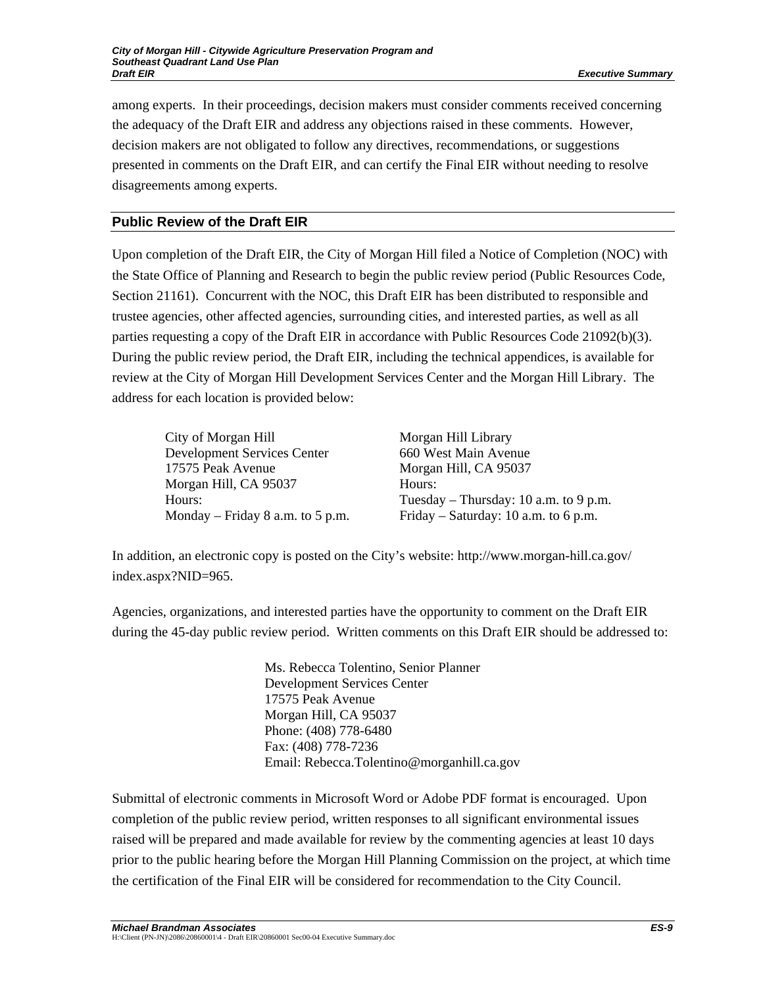among experts. In their proceedings, decision makers must consider comments received concerning the adequacy of the Draft EIR and address any objections raised in these comments. However, decision makers are not obligated to follow any directives, recommendations, or suggestions presented in comments on the Draft EIR, and can certify the Final EIR without needing to resolve disagreements among experts.

# **Public Review of the Draft EIR**

Upon completion of the Draft EIR, the City of Morgan Hill filed a Notice of Completion (NOC) with the State Office of Planning and Research to begin the public review period (Public Resources Code, Section 21161). Concurrent with the NOC, this Draft EIR has been distributed to responsible and trustee agencies, other affected agencies, surrounding cities, and interested parties, as well as all parties requesting a copy of the Draft EIR in accordance with Public Resources Code 21092(b)(3). During the public review period, the Draft EIR, including the technical appendices, is available for review at the City of Morgan Hill Development Services Center and the Morgan Hill Library. The address for each location is provided below:

City of Morgan Hill Development Services Center 17575 Peak Avenue Morgan Hill, CA 95037 Hours: Monday – Friday 8 a.m. to 5 p.m. Morgan Hill Library 660 West Main Avenue Morgan Hill, CA 95037 Hours: Tuesday – Thursday: 10 a.m. to 9 p.m. Friday – Saturday: 10 a.m. to 6 p.m.

In addition, an electronic copy is posted on the City's website: http://www.morgan-hill.ca.gov/ index.aspx?NID=965.

Agencies, organizations, and interested parties have the opportunity to comment on the Draft EIR during the 45-day public review period. Written comments on this Draft EIR should be addressed to:

> Ms. Rebecca Tolentino, Senior Planner Development Services Center 17575 Peak Avenue Morgan Hill, CA 95037 Phone: (408) 778-6480 Fax: (408) 778-7236 Email: Rebecca.Tolentino@morganhill.ca.gov

Submittal of electronic comments in Microsoft Word or Adobe PDF format is encouraged. Upon completion of the public review period, written responses to all significant environmental issues raised will be prepared and made available for review by the commenting agencies at least 10 days prior to the public hearing before the Morgan Hill Planning Commission on the project, at which time the certification of the Final EIR will be considered for recommendation to the City Council.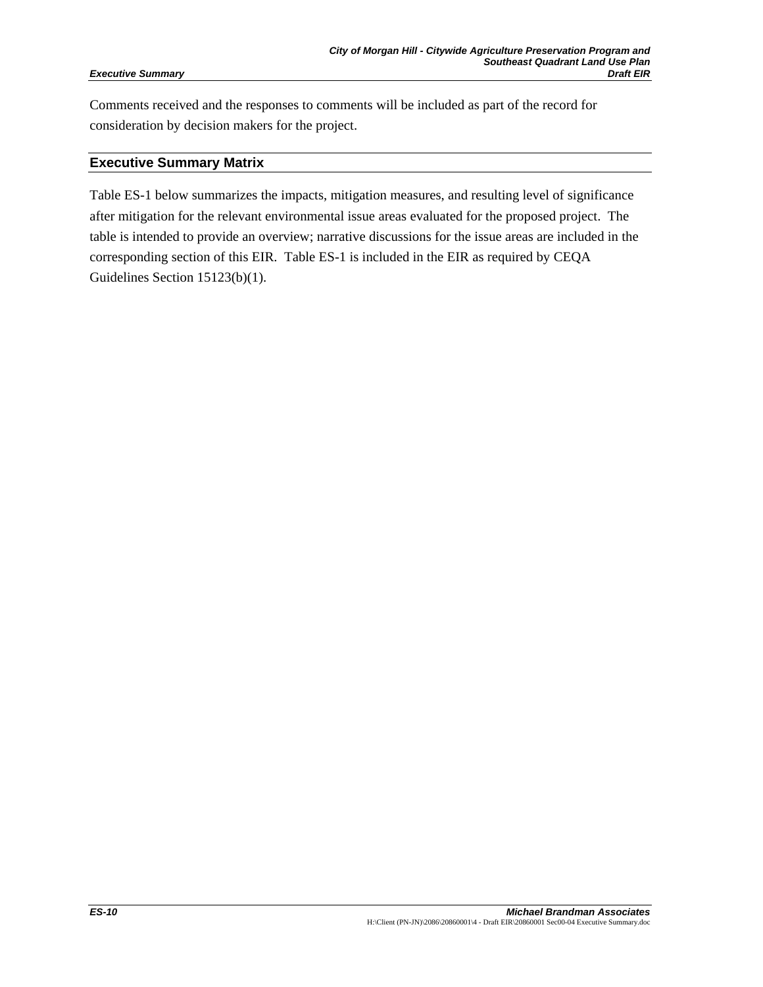#### *Executive Summary*

Comments received and the responses to comments will be included as part of the record for consideration by decision makers for the project.

#### **Executive Summary Matrix**

Table ES-1 below summarizes the impacts, mitigation measures, and resulting level of significance after mitigation for the relevant environmental issue areas evaluated for the proposed project. The table is intended to provide an overview; narrative discussions for the issue areas are included in the corresponding section of this EIR. Table ES-1 is included in the EIR as required by CEQA Guidelines Section 15123(b)(1).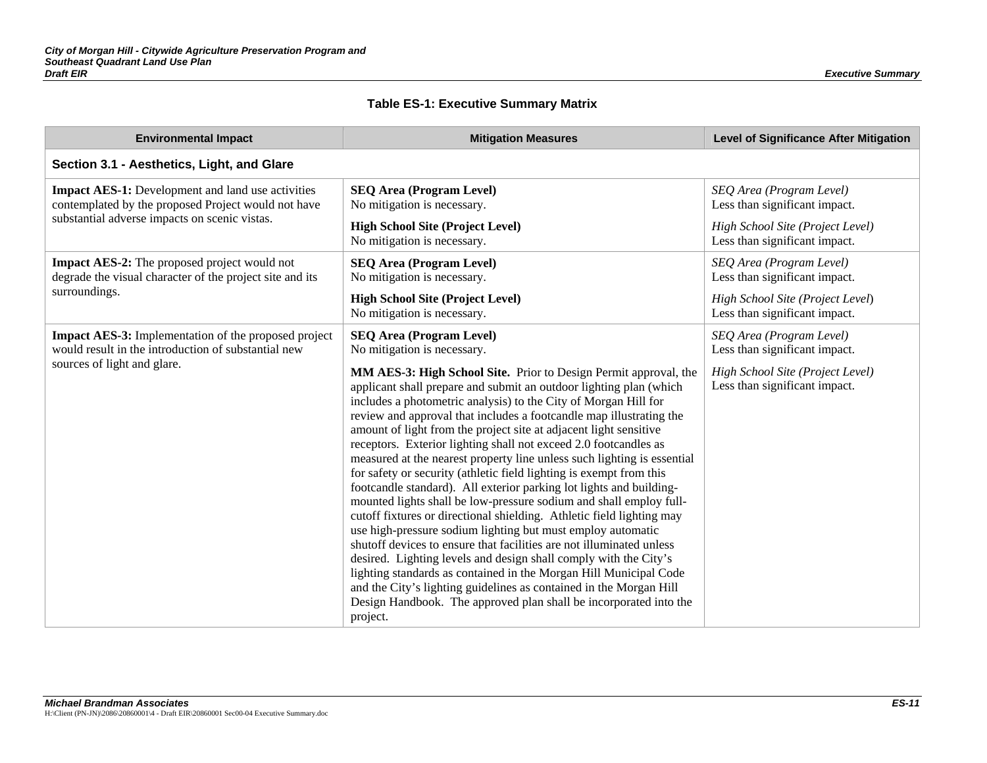### **Table ES-1: Executive Summary Matrix**

| <b>Environmental Impact</b>                                                                                        | <b>Mitigation Measures</b>                                                                                                                                                                                                                                                                                                                                                                                                                                                                                                                                                                                                                                                                                                                                                                                                                                                                                                                                                                                                                                                                                                                                                                                                               | <b>Level of Significance After Mitigation</b>                     |
|--------------------------------------------------------------------------------------------------------------------|------------------------------------------------------------------------------------------------------------------------------------------------------------------------------------------------------------------------------------------------------------------------------------------------------------------------------------------------------------------------------------------------------------------------------------------------------------------------------------------------------------------------------------------------------------------------------------------------------------------------------------------------------------------------------------------------------------------------------------------------------------------------------------------------------------------------------------------------------------------------------------------------------------------------------------------------------------------------------------------------------------------------------------------------------------------------------------------------------------------------------------------------------------------------------------------------------------------------------------------|-------------------------------------------------------------------|
| Section 3.1 - Aesthetics, Light, and Glare                                                                         |                                                                                                                                                                                                                                                                                                                                                                                                                                                                                                                                                                                                                                                                                                                                                                                                                                                                                                                                                                                                                                                                                                                                                                                                                                          |                                                                   |
| <b>Impact AES-1:</b> Development and land use activities<br>contemplated by the proposed Project would not have    | <b>SEQ Area (Program Level)</b><br>No mitigation is necessary.                                                                                                                                                                                                                                                                                                                                                                                                                                                                                                                                                                                                                                                                                                                                                                                                                                                                                                                                                                                                                                                                                                                                                                           | SEQ Area (Program Level)<br>Less than significant impact.         |
| substantial adverse impacts on scenic vistas.                                                                      | <b>High School Site (Project Level)</b><br>No mitigation is necessary.                                                                                                                                                                                                                                                                                                                                                                                                                                                                                                                                                                                                                                                                                                                                                                                                                                                                                                                                                                                                                                                                                                                                                                   | High School Site (Project Level)<br>Less than significant impact. |
| <b>Impact AES-2:</b> The proposed project would not<br>degrade the visual character of the project site and its    | <b>SEQ Area (Program Level)</b><br>No mitigation is necessary.                                                                                                                                                                                                                                                                                                                                                                                                                                                                                                                                                                                                                                                                                                                                                                                                                                                                                                                                                                                                                                                                                                                                                                           | SEQ Area (Program Level)<br>Less than significant impact.         |
| surroundings.                                                                                                      | <b>High School Site (Project Level)</b><br>No mitigation is necessary.                                                                                                                                                                                                                                                                                                                                                                                                                                                                                                                                                                                                                                                                                                                                                                                                                                                                                                                                                                                                                                                                                                                                                                   | High School Site (Project Level)<br>Less than significant impact. |
| <b>Impact AES-3:</b> Implementation of the proposed project<br>would result in the introduction of substantial new | <b>SEQ Area (Program Level)</b><br>No mitigation is necessary.                                                                                                                                                                                                                                                                                                                                                                                                                                                                                                                                                                                                                                                                                                                                                                                                                                                                                                                                                                                                                                                                                                                                                                           | SEQ Area (Program Level)<br>Less than significant impact.         |
| sources of light and glare.                                                                                        | MM AES-3: High School Site. Prior to Design Permit approval, the<br>applicant shall prepare and submit an outdoor lighting plan (which<br>includes a photometric analysis) to the City of Morgan Hill for<br>review and approval that includes a footcandle map illustrating the<br>amount of light from the project site at adjacent light sensitive<br>receptors. Exterior lighting shall not exceed 2.0 footcandles as<br>measured at the nearest property line unless such lighting is essential<br>for safety or security (athletic field lighting is exempt from this<br>footcandle standard). All exterior parking lot lights and building-<br>mounted lights shall be low-pressure sodium and shall employ full-<br>cutoff fixtures or directional shielding. Athletic field lighting may<br>use high-pressure sodium lighting but must employ automatic<br>shutoff devices to ensure that facilities are not illuminated unless<br>desired. Lighting levels and design shall comply with the City's<br>lighting standards as contained in the Morgan Hill Municipal Code<br>and the City's lighting guidelines as contained in the Morgan Hill<br>Design Handbook. The approved plan shall be incorporated into the<br>project. | High School Site (Project Level)<br>Less than significant impact. |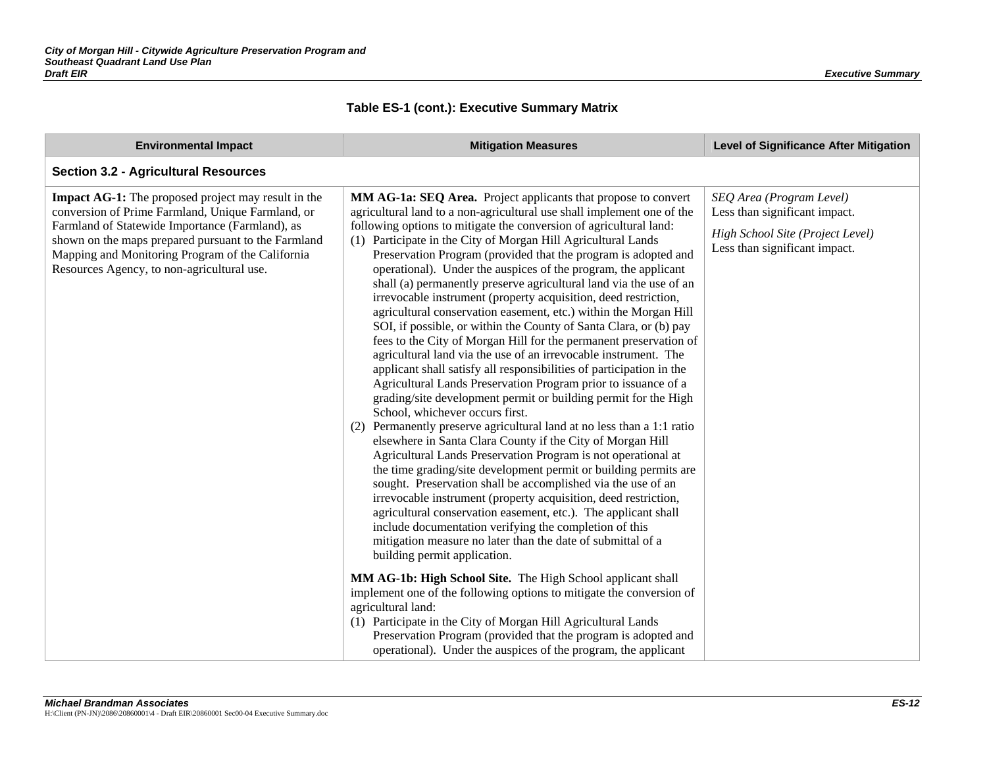| <b>Environmental Impact</b>                                                                                                                                                                                                                                                                                                 | <b>Mitigation Measures</b>                                                                                                                                                                                                                                                                                                                                                                                                                                                                                                                                                                                                                                                                                                                                                                                                                                                                                                                                                                                                                                                                                                                                                                                                                                                                                                                                                                                                                                                                                                                                                                                                                                                                                                                                                                                                                                                                                                                                                                                                                                                                                 | <b>Level of Significance After Mitigation</b>                                                                                  |
|-----------------------------------------------------------------------------------------------------------------------------------------------------------------------------------------------------------------------------------------------------------------------------------------------------------------------------|------------------------------------------------------------------------------------------------------------------------------------------------------------------------------------------------------------------------------------------------------------------------------------------------------------------------------------------------------------------------------------------------------------------------------------------------------------------------------------------------------------------------------------------------------------------------------------------------------------------------------------------------------------------------------------------------------------------------------------------------------------------------------------------------------------------------------------------------------------------------------------------------------------------------------------------------------------------------------------------------------------------------------------------------------------------------------------------------------------------------------------------------------------------------------------------------------------------------------------------------------------------------------------------------------------------------------------------------------------------------------------------------------------------------------------------------------------------------------------------------------------------------------------------------------------------------------------------------------------------------------------------------------------------------------------------------------------------------------------------------------------------------------------------------------------------------------------------------------------------------------------------------------------------------------------------------------------------------------------------------------------------------------------------------------------------------------------------------------------|--------------------------------------------------------------------------------------------------------------------------------|
| <b>Section 3.2 - Agricultural Resources</b>                                                                                                                                                                                                                                                                                 |                                                                                                                                                                                                                                                                                                                                                                                                                                                                                                                                                                                                                                                                                                                                                                                                                                                                                                                                                                                                                                                                                                                                                                                                                                                                                                                                                                                                                                                                                                                                                                                                                                                                                                                                                                                                                                                                                                                                                                                                                                                                                                            |                                                                                                                                |
| <b>Impact AG-1:</b> The proposed project may result in the<br>conversion of Prime Farmland, Unique Farmland, or<br>Farmland of Statewide Importance (Farmland), as<br>shown on the maps prepared pursuant to the Farmland<br>Mapping and Monitoring Program of the California<br>Resources Agency, to non-agricultural use. | MM AG-1a: SEQ Area. Project applicants that propose to convert<br>agricultural land to a non-agricultural use shall implement one of the<br>following options to mitigate the conversion of agricultural land:<br>(1) Participate in the City of Morgan Hill Agricultural Lands<br>Preservation Program (provided that the program is adopted and<br>operational). Under the auspices of the program, the applicant<br>shall (a) permanently preserve agricultural land via the use of an<br>irrevocable instrument (property acquisition, deed restriction,<br>agricultural conservation easement, etc.) within the Morgan Hill<br>SOI, if possible, or within the County of Santa Clara, or (b) pay<br>fees to the City of Morgan Hill for the permanent preservation of<br>agricultural land via the use of an irrevocable instrument. The<br>applicant shall satisfy all responsibilities of participation in the<br>Agricultural Lands Preservation Program prior to issuance of a<br>grading/site development permit or building permit for the High<br>School, whichever occurs first.<br>(2) Permanently preserve agricultural land at no less than a 1:1 ratio<br>elsewhere in Santa Clara County if the City of Morgan Hill<br>Agricultural Lands Preservation Program is not operational at<br>the time grading/site development permit or building permits are<br>sought. Preservation shall be accomplished via the use of an<br>irrevocable instrument (property acquisition, deed restriction,<br>agricultural conservation easement, etc.). The applicant shall<br>include documentation verifying the completion of this<br>mitigation measure no later than the date of submittal of a<br>building permit application.<br>MM AG-1b: High School Site. The High School applicant shall<br>implement one of the following options to mitigate the conversion of<br>agricultural land:<br>(1) Participate in the City of Morgan Hill Agricultural Lands<br>Preservation Program (provided that the program is adopted and<br>operational). Under the auspices of the program, the applicant | SEQ Area (Program Level)<br>Less than significant impact.<br>High School Site (Project Level)<br>Less than significant impact. |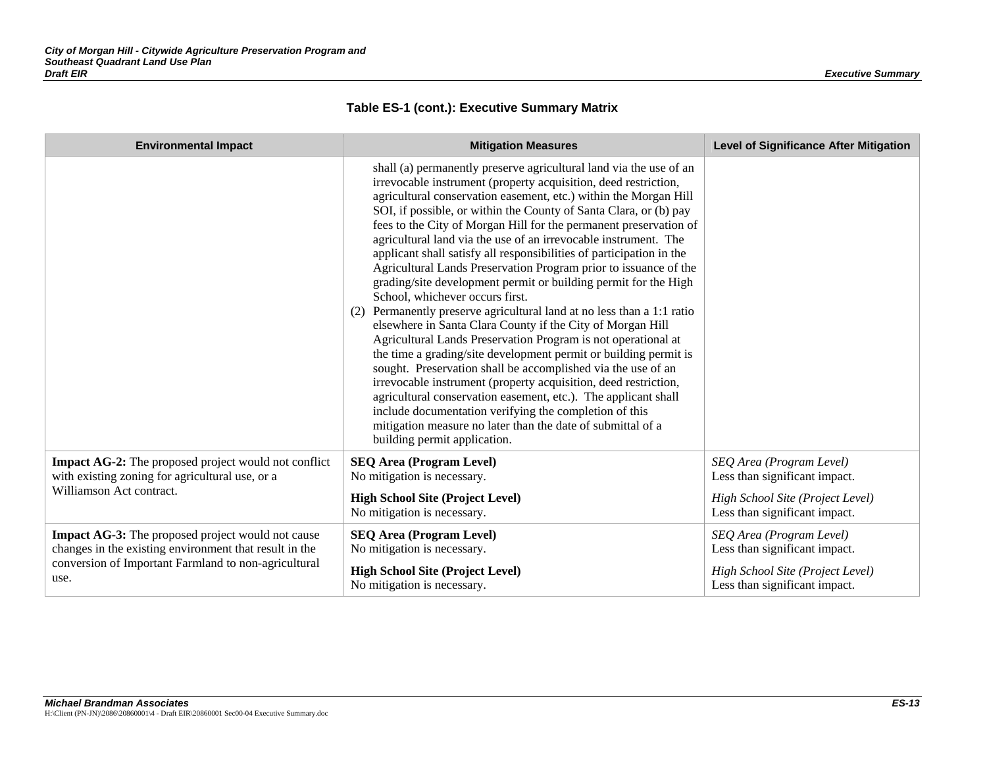| <b>Environmental Impact</b>                                                                                                                                                 | <b>Mitigation Measures</b>                                                                                                                                                                                                                                                                                                                                                                                                                                                                                                                                                                                                                                                                                                                                                                                                                                                                                                                                                                                                                                                                                                                                                                                                                                                                                          | <b>Level of Significance After Mitigation</b>                                                                                  |
|-----------------------------------------------------------------------------------------------------------------------------------------------------------------------------|---------------------------------------------------------------------------------------------------------------------------------------------------------------------------------------------------------------------------------------------------------------------------------------------------------------------------------------------------------------------------------------------------------------------------------------------------------------------------------------------------------------------------------------------------------------------------------------------------------------------------------------------------------------------------------------------------------------------------------------------------------------------------------------------------------------------------------------------------------------------------------------------------------------------------------------------------------------------------------------------------------------------------------------------------------------------------------------------------------------------------------------------------------------------------------------------------------------------------------------------------------------------------------------------------------------------|--------------------------------------------------------------------------------------------------------------------------------|
|                                                                                                                                                                             | shall (a) permanently preserve agricultural land via the use of an<br>irrevocable instrument (property acquisition, deed restriction,<br>agricultural conservation easement, etc.) within the Morgan Hill<br>SOI, if possible, or within the County of Santa Clara, or (b) pay<br>fees to the City of Morgan Hill for the permanent preservation of<br>agricultural land via the use of an irrevocable instrument. The<br>applicant shall satisfy all responsibilities of participation in the<br>Agricultural Lands Preservation Program prior to issuance of the<br>grading/site development permit or building permit for the High<br>School, whichever occurs first.<br>(2) Permanently preserve agricultural land at no less than a 1:1 ratio<br>elsewhere in Santa Clara County if the City of Morgan Hill<br>Agricultural Lands Preservation Program is not operational at<br>the time a grading/site development permit or building permit is<br>sought. Preservation shall be accomplished via the use of an<br>irrevocable instrument (property acquisition, deed restriction,<br>agricultural conservation easement, etc.). The applicant shall<br>include documentation verifying the completion of this<br>mitigation measure no later than the date of submittal of a<br>building permit application. |                                                                                                                                |
| <b>Impact AG-2:</b> The proposed project would not conflict<br>with existing zoning for agricultural use, or a<br>Williamson Act contract.                                  | <b>SEQ Area (Program Level)</b><br>No mitigation is necessary.<br><b>High School Site (Project Level)</b><br>No mitigation is necessary.                                                                                                                                                                                                                                                                                                                                                                                                                                                                                                                                                                                                                                                                                                                                                                                                                                                                                                                                                                                                                                                                                                                                                                            | SEQ Area (Program Level)<br>Less than significant impact.<br>High School Site (Project Level)<br>Less than significant impact. |
| Impact AG-3: The proposed project would not cause<br>changes in the existing environment that result in the<br>conversion of Important Farmland to non-agricultural<br>use. | <b>SEQ Area (Program Level)</b><br>No mitigation is necessary.<br><b>High School Site (Project Level)</b><br>No mitigation is necessary.                                                                                                                                                                                                                                                                                                                                                                                                                                                                                                                                                                                                                                                                                                                                                                                                                                                                                                                                                                                                                                                                                                                                                                            | SEQ Area (Program Level)<br>Less than significant impact.<br>High School Site (Project Level)<br>Less than significant impact. |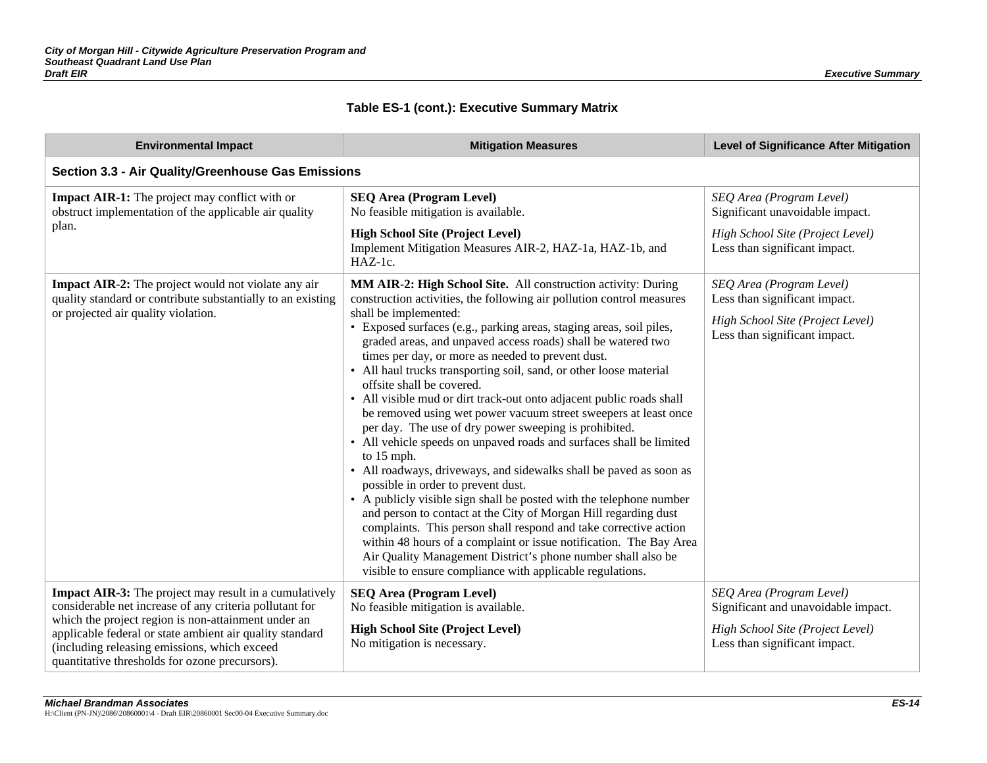| <b>Environmental Impact</b>                                                                                                                                                                                                                                                                                                                   | <b>Mitigation Measures</b>                                                                                                                                                                                                                                                                                                                                                                                                                                                                                                                                                                                                                                                                                                                                                                                                                                                                                                                                                                                                                                                                                                                                                                                                                                                           | <b>Level of Significance After Mitigation</b>                                                                                        |
|-----------------------------------------------------------------------------------------------------------------------------------------------------------------------------------------------------------------------------------------------------------------------------------------------------------------------------------------------|--------------------------------------------------------------------------------------------------------------------------------------------------------------------------------------------------------------------------------------------------------------------------------------------------------------------------------------------------------------------------------------------------------------------------------------------------------------------------------------------------------------------------------------------------------------------------------------------------------------------------------------------------------------------------------------------------------------------------------------------------------------------------------------------------------------------------------------------------------------------------------------------------------------------------------------------------------------------------------------------------------------------------------------------------------------------------------------------------------------------------------------------------------------------------------------------------------------------------------------------------------------------------------------|--------------------------------------------------------------------------------------------------------------------------------------|
| Section 3.3 - Air Quality/Greenhouse Gas Emissions                                                                                                                                                                                                                                                                                            |                                                                                                                                                                                                                                                                                                                                                                                                                                                                                                                                                                                                                                                                                                                                                                                                                                                                                                                                                                                                                                                                                                                                                                                                                                                                                      |                                                                                                                                      |
| <b>Impact AIR-1:</b> The project may conflict with or<br>obstruct implementation of the applicable air quality<br>plan.                                                                                                                                                                                                                       | <b>SEQ Area (Program Level)</b><br>No feasible mitigation is available.                                                                                                                                                                                                                                                                                                                                                                                                                                                                                                                                                                                                                                                                                                                                                                                                                                                                                                                                                                                                                                                                                                                                                                                                              | SEQ Area (Program Level)<br>Significant unavoidable impact.                                                                          |
|                                                                                                                                                                                                                                                                                                                                               | <b>High School Site (Project Level)</b><br>Implement Mitigation Measures AIR-2, HAZ-1a, HAZ-1b, and<br>HAZ-1c.                                                                                                                                                                                                                                                                                                                                                                                                                                                                                                                                                                                                                                                                                                                                                                                                                                                                                                                                                                                                                                                                                                                                                                       | High School Site (Project Level)<br>Less than significant impact.                                                                    |
| <b>Impact AIR-2:</b> The project would not violate any air<br>quality standard or contribute substantially to an existing<br>or projected air quality violation.                                                                                                                                                                              | MM AIR-2: High School Site. All construction activity: During<br>construction activities, the following air pollution control measures<br>shall be implemented:<br>· Exposed surfaces (e.g., parking areas, staging areas, soil piles,<br>graded areas, and unpaved access roads) shall be watered two<br>times per day, or more as needed to prevent dust.<br>• All haul trucks transporting soil, sand, or other loose material<br>offsite shall be covered.<br>• All visible mud or dirt track-out onto adjacent public roads shall<br>be removed using wet power vacuum street sweepers at least once<br>per day. The use of dry power sweeping is prohibited.<br>• All vehicle speeds on unpaved roads and surfaces shall be limited<br>to 15 mph.<br>• All roadways, driveways, and sidewalks shall be paved as soon as<br>possible in order to prevent dust.<br>• A publicly visible sign shall be posted with the telephone number<br>and person to contact at the City of Morgan Hill regarding dust<br>complaints. This person shall respond and take corrective action<br>within 48 hours of a complaint or issue notification. The Bay Area<br>Air Quality Management District's phone number shall also be<br>visible to ensure compliance with applicable regulations. | SEQ Area (Program Level)<br>Less than significant impact.<br>High School Site (Project Level)<br>Less than significant impact.       |
| <b>Impact AIR-3:</b> The project may result in a cumulatively<br>considerable net increase of any criteria pollutant for<br>which the project region is non-attainment under an<br>applicable federal or state ambient air quality standard<br>(including releasing emissions, which exceed<br>quantitative thresholds for ozone precursors). | <b>SEQ Area (Program Level)</b><br>No feasible mitigation is available.<br><b>High School Site (Project Level)</b><br>No mitigation is necessary.                                                                                                                                                                                                                                                                                                                                                                                                                                                                                                                                                                                                                                                                                                                                                                                                                                                                                                                                                                                                                                                                                                                                    | SEQ Area (Program Level)<br>Significant and unavoidable impact.<br>High School Site (Project Level)<br>Less than significant impact. |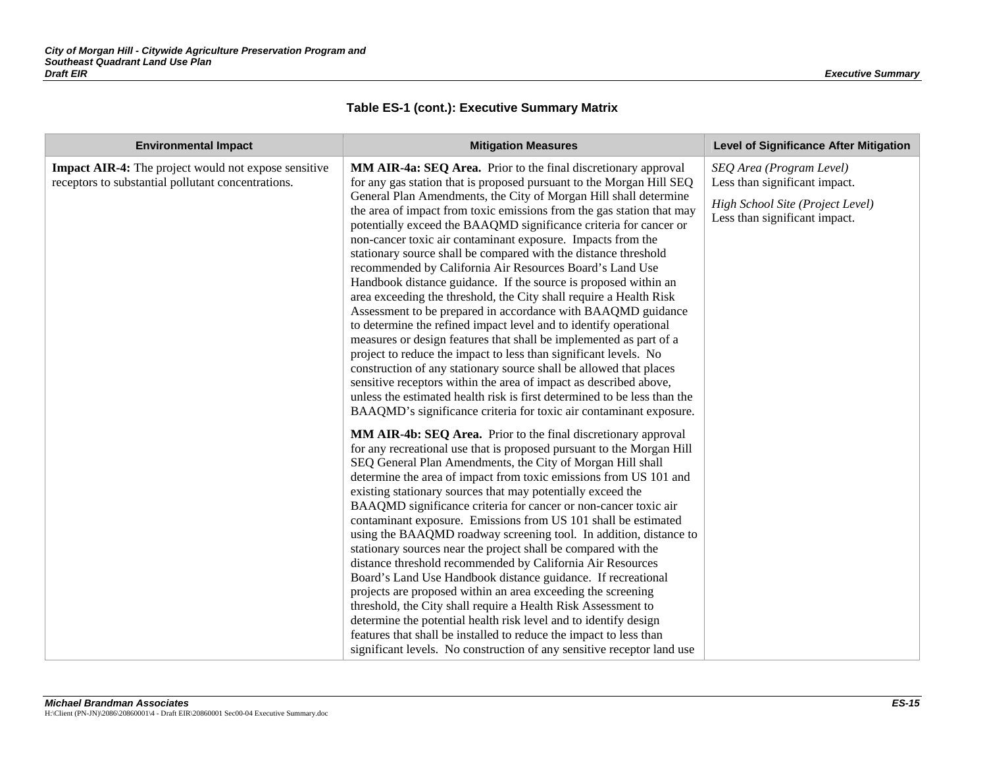| <b>Environmental Impact</b>                                                                                       | <b>Mitigation Measures</b>                                                                                                                                                                                                                                                                                                                                                                                                                                                                                                                                                                                                                                                                                                                                                                                                                                                                                                                                                                                                                                                                                                                                                                                                                                                                                                                                                                                                                                                                                                                                                                                                                                                                                                                                                                                                                                                                                                                                                                                                                                                                                                                                                                                                                                                                                                                                                              | <b>Level of Significance After Mitigation</b>                                                                                  |
|-------------------------------------------------------------------------------------------------------------------|-----------------------------------------------------------------------------------------------------------------------------------------------------------------------------------------------------------------------------------------------------------------------------------------------------------------------------------------------------------------------------------------------------------------------------------------------------------------------------------------------------------------------------------------------------------------------------------------------------------------------------------------------------------------------------------------------------------------------------------------------------------------------------------------------------------------------------------------------------------------------------------------------------------------------------------------------------------------------------------------------------------------------------------------------------------------------------------------------------------------------------------------------------------------------------------------------------------------------------------------------------------------------------------------------------------------------------------------------------------------------------------------------------------------------------------------------------------------------------------------------------------------------------------------------------------------------------------------------------------------------------------------------------------------------------------------------------------------------------------------------------------------------------------------------------------------------------------------------------------------------------------------------------------------------------------------------------------------------------------------------------------------------------------------------------------------------------------------------------------------------------------------------------------------------------------------------------------------------------------------------------------------------------------------------------------------------------------------------------------------------------------------|--------------------------------------------------------------------------------------------------------------------------------|
| <b>Impact AIR-4:</b> The project would not expose sensitive<br>receptors to substantial pollutant concentrations. | MM AIR-4a: SEQ Area. Prior to the final discretionary approval<br>for any gas station that is proposed pursuant to the Morgan Hill SEQ<br>General Plan Amendments, the City of Morgan Hill shall determine<br>the area of impact from toxic emissions from the gas station that may<br>potentially exceed the BAAQMD significance criteria for cancer or<br>non-cancer toxic air contaminant exposure. Impacts from the<br>stationary source shall be compared with the distance threshold<br>recommended by California Air Resources Board's Land Use<br>Handbook distance guidance. If the source is proposed within an<br>area exceeding the threshold, the City shall require a Health Risk<br>Assessment to be prepared in accordance with BAAQMD guidance<br>to determine the refined impact level and to identify operational<br>measures or design features that shall be implemented as part of a<br>project to reduce the impact to less than significant levels. No<br>construction of any stationary source shall be allowed that places<br>sensitive receptors within the area of impact as described above,<br>unless the estimated health risk is first determined to be less than the<br>BAAQMD's significance criteria for toxic air contaminant exposure.<br>MM AIR-4b: SEQ Area. Prior to the final discretionary approval<br>for any recreational use that is proposed pursuant to the Morgan Hill<br>SEQ General Plan Amendments, the City of Morgan Hill shall<br>determine the area of impact from toxic emissions from US 101 and<br>existing stationary sources that may potentially exceed the<br>BAAQMD significance criteria for cancer or non-cancer toxic air<br>contaminant exposure. Emissions from US 101 shall be estimated<br>using the BAAQMD roadway screening tool. In addition, distance to<br>stationary sources near the project shall be compared with the<br>distance threshold recommended by California Air Resources<br>Board's Land Use Handbook distance guidance. If recreational<br>projects are proposed within an area exceeding the screening<br>threshold, the City shall require a Health Risk Assessment to<br>determine the potential health risk level and to identify design<br>features that shall be installed to reduce the impact to less than<br>significant levels. No construction of any sensitive receptor land use | SEQ Area (Program Level)<br>Less than significant impact.<br>High School Site (Project Level)<br>Less than significant impact. |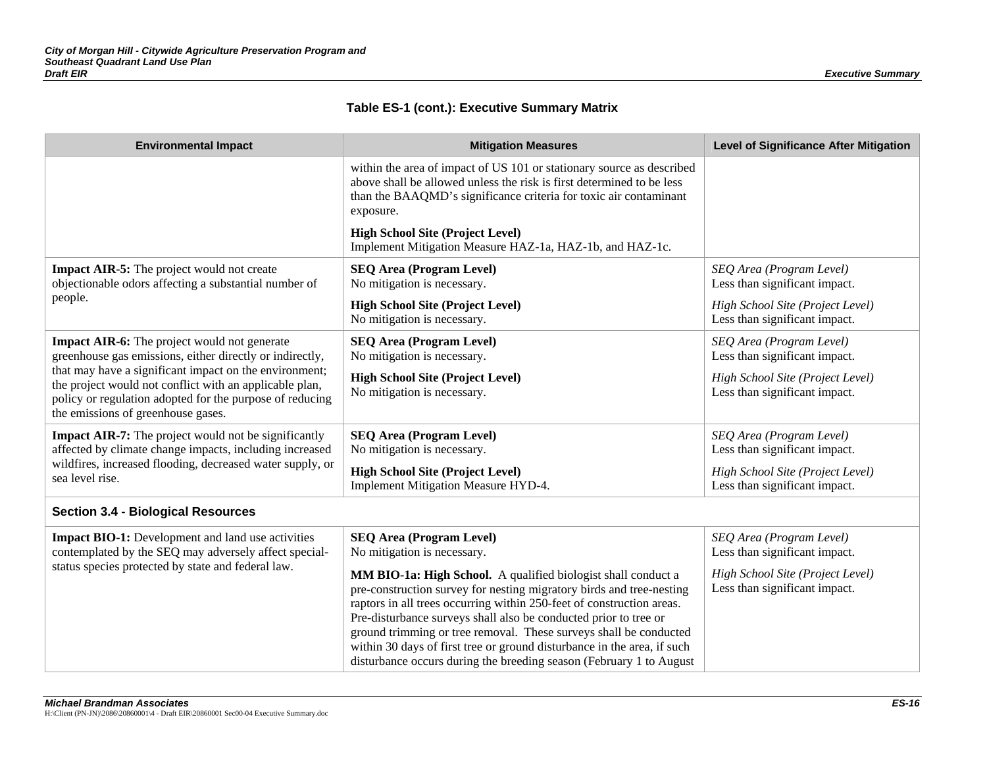| <b>Environmental Impact</b>                                                                                                                                                                                         | <b>Mitigation Measures</b>                                                                                                                                                                                                                                                                                                                                                                                                                                                                                | <b>Level of Significance After Mitigation</b>                     |
|---------------------------------------------------------------------------------------------------------------------------------------------------------------------------------------------------------------------|-----------------------------------------------------------------------------------------------------------------------------------------------------------------------------------------------------------------------------------------------------------------------------------------------------------------------------------------------------------------------------------------------------------------------------------------------------------------------------------------------------------|-------------------------------------------------------------------|
|                                                                                                                                                                                                                     | within the area of impact of US 101 or stationary source as described<br>above shall be allowed unless the risk is first determined to be less<br>than the BAAQMD's significance criteria for toxic air contaminant<br>exposure.                                                                                                                                                                                                                                                                          |                                                                   |
|                                                                                                                                                                                                                     | <b>High School Site (Project Level)</b><br>Implement Mitigation Measure HAZ-1a, HAZ-1b, and HAZ-1c.                                                                                                                                                                                                                                                                                                                                                                                                       |                                                                   |
| <b>Impact AIR-5:</b> The project would not create<br>objectionable odors affecting a substantial number of                                                                                                          | <b>SEQ Area (Program Level)</b><br>No mitigation is necessary.                                                                                                                                                                                                                                                                                                                                                                                                                                            | SEQ Area (Program Level)<br>Less than significant impact.         |
| people.                                                                                                                                                                                                             | <b>High School Site (Project Level)</b><br>No mitigation is necessary.                                                                                                                                                                                                                                                                                                                                                                                                                                    | High School Site (Project Level)<br>Less than significant impact. |
| <b>Impact AIR-6:</b> The project would not generate<br>greenhouse gas emissions, either directly or indirectly,                                                                                                     | <b>SEQ Area (Program Level)</b><br>No mitigation is necessary.                                                                                                                                                                                                                                                                                                                                                                                                                                            | SEQ Area (Program Level)<br>Less than significant impact.         |
| that may have a significant impact on the environment;<br>the project would not conflict with an applicable plan,<br>policy or regulation adopted for the purpose of reducing<br>the emissions of greenhouse gases. | <b>High School Site (Project Level)</b><br>No mitigation is necessary.                                                                                                                                                                                                                                                                                                                                                                                                                                    | High School Site (Project Level)<br>Less than significant impact. |
| <b>Impact AIR-7:</b> The project would not be significantly<br>affected by climate change impacts, including increased                                                                                              | <b>SEQ Area (Program Level)</b><br>No mitigation is necessary.                                                                                                                                                                                                                                                                                                                                                                                                                                            | SEQ Area (Program Level)<br>Less than significant impact.         |
| wildfires, increased flooding, decreased water supply, or<br>sea level rise.                                                                                                                                        | <b>High School Site (Project Level)</b><br>Implement Mitigation Measure HYD-4.                                                                                                                                                                                                                                                                                                                                                                                                                            | High School Site (Project Level)<br>Less than significant impact. |
| <b>Section 3.4 - Biological Resources</b>                                                                                                                                                                           |                                                                                                                                                                                                                                                                                                                                                                                                                                                                                                           |                                                                   |
| <b>Impact BIO-1:</b> Development and land use activities<br>contemplated by the SEQ may adversely affect special-                                                                                                   | <b>SEQ Area (Program Level)</b><br>No mitigation is necessary.                                                                                                                                                                                                                                                                                                                                                                                                                                            | SEQ Area (Program Level)<br>Less than significant impact.         |
| status species protected by state and federal law.                                                                                                                                                                  | MM BIO-1a: High School. A qualified biologist shall conduct a<br>pre-construction survey for nesting migratory birds and tree-nesting<br>raptors in all trees occurring within 250-feet of construction areas.<br>Pre-disturbance surveys shall also be conducted prior to tree or<br>ground trimming or tree removal. These surveys shall be conducted<br>within 30 days of first tree or ground disturbance in the area, if such<br>disturbance occurs during the breeding season (February 1 to August | High School Site (Project Level)<br>Less than significant impact. |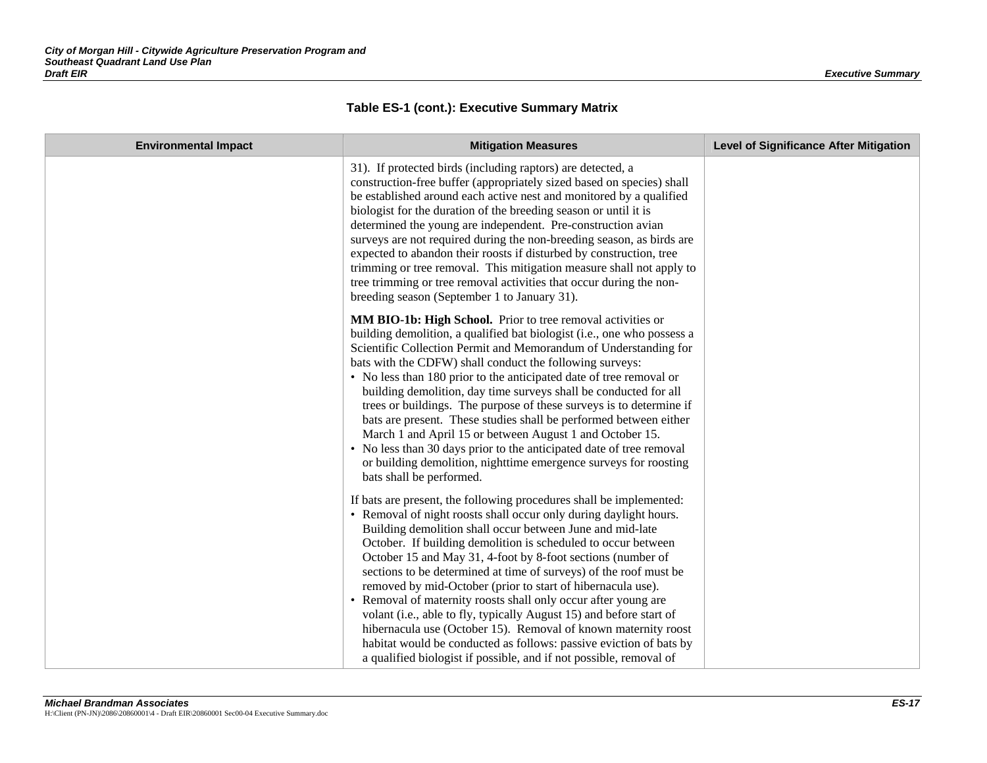| <b>Environmental Impact</b> | <b>Mitigation Measures</b>                                                                                                                                                                                                                                                                                                                                                                                                                                                                                                                                                                                                                                                                                                                                                                                                       | <b>Level of Significance After Mitigation</b> |
|-----------------------------|----------------------------------------------------------------------------------------------------------------------------------------------------------------------------------------------------------------------------------------------------------------------------------------------------------------------------------------------------------------------------------------------------------------------------------------------------------------------------------------------------------------------------------------------------------------------------------------------------------------------------------------------------------------------------------------------------------------------------------------------------------------------------------------------------------------------------------|-----------------------------------------------|
|                             | 31). If protected birds (including raptors) are detected, a<br>construction-free buffer (appropriately sized based on species) shall<br>be established around each active nest and monitored by a qualified<br>biologist for the duration of the breeding season or until it is<br>determined the young are independent. Pre-construction avian<br>surveys are not required during the non-breeding season, as birds are<br>expected to abandon their roosts if disturbed by construction, tree<br>trimming or tree removal. This mitigation measure shall not apply to<br>tree trimming or tree removal activities that occur during the non-<br>breeding season (September 1 to January 31).                                                                                                                                   |                                               |
|                             | MM BIO-1b: High School. Prior to tree removal activities or<br>building demolition, a qualified bat biologist (i.e., one who possess a<br>Scientific Collection Permit and Memorandum of Understanding for<br>bats with the CDFW) shall conduct the following surveys:<br>• No less than 180 prior to the anticipated date of tree removal or<br>building demolition, day time surveys shall be conducted for all<br>trees or buildings. The purpose of these surveys is to determine if<br>bats are present. These studies shall be performed between either<br>March 1 and April 15 or between August 1 and October 15.<br>• No less than 30 days prior to the anticipated date of tree removal<br>or building demolition, nighttime emergence surveys for roosting<br>bats shall be performed.                                |                                               |
|                             | If bats are present, the following procedures shall be implemented:<br>• Removal of night roosts shall occur only during daylight hours.<br>Building demolition shall occur between June and mid-late<br>October. If building demolition is scheduled to occur between<br>October 15 and May 31, 4-foot by 8-foot sections (number of<br>sections to be determined at time of surveys) of the roof must be<br>removed by mid-October (prior to start of hibernacula use).<br>• Removal of maternity roosts shall only occur after young are<br>volant (i.e., able to fly, typically August 15) and before start of<br>hibernacula use (October 15). Removal of known maternity roost<br>habitat would be conducted as follows: passive eviction of bats by<br>a qualified biologist if possible, and if not possible, removal of |                                               |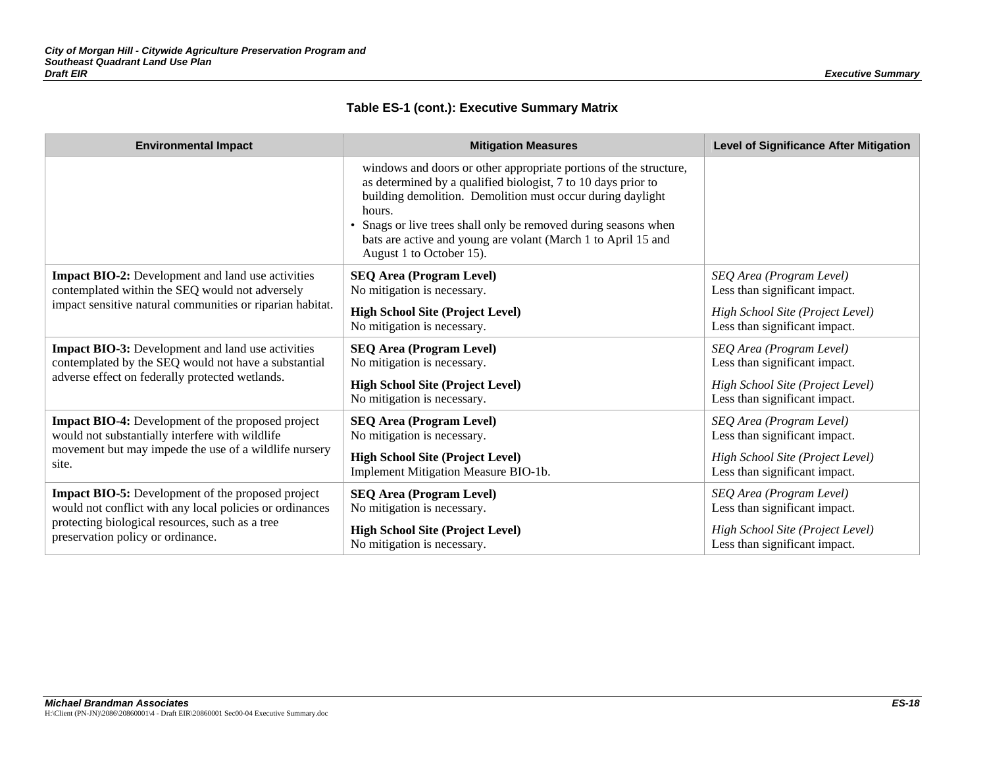| <b>Environmental Impact</b>                                                                                                                                                                                  | <b>Mitigation Measures</b>                                                                                                                                                                                                                                                                                                                                                 | <b>Level of Significance After Mitigation</b>                                                                                  |
|--------------------------------------------------------------------------------------------------------------------------------------------------------------------------------------------------------------|----------------------------------------------------------------------------------------------------------------------------------------------------------------------------------------------------------------------------------------------------------------------------------------------------------------------------------------------------------------------------|--------------------------------------------------------------------------------------------------------------------------------|
|                                                                                                                                                                                                              | windows and doors or other appropriate portions of the structure,<br>as determined by a qualified biologist, 7 to 10 days prior to<br>building demolition. Demolition must occur during daylight<br>hours.<br>• Snags or live trees shall only be removed during seasons when<br>bats are active and young are volant (March 1 to April 15 and<br>August 1 to October 15). |                                                                                                                                |
| <b>Impact BIO-2:</b> Development and land use activities<br>contemplated within the SEQ would not adversely<br>impact sensitive natural communities or riparian habitat.                                     | <b>SEQ Area (Program Level)</b><br>No mitigation is necessary.<br><b>High School Site (Project Level)</b><br>No mitigation is necessary.                                                                                                                                                                                                                                   | SEQ Area (Program Level)<br>Less than significant impact.<br>High School Site (Project Level)<br>Less than significant impact. |
| <b>Impact BIO-3:</b> Development and land use activities<br>contemplated by the SEQ would not have a substantial<br>adverse effect on federally protected wetlands.                                          | <b>SEQ Area (Program Level)</b><br>No mitigation is necessary.<br><b>High School Site (Project Level)</b><br>No mitigation is necessary.                                                                                                                                                                                                                                   | SEQ Area (Program Level)<br>Less than significant impact.<br>High School Site (Project Level)<br>Less than significant impact. |
| <b>Impact BIO-4:</b> Development of the proposed project<br>would not substantially interfere with wildlife<br>movement but may impede the use of a wildlife nursery<br>site.                                | <b>SEQ Area (Program Level)</b><br>No mitigation is necessary.<br><b>High School Site (Project Level)</b><br>Implement Mitigation Measure BIO-1b.                                                                                                                                                                                                                          | SEQ Area (Program Level)<br>Less than significant impact.<br>High School Site (Project Level)<br>Less than significant impact. |
| <b>Impact BIO-5:</b> Development of the proposed project<br>would not conflict with any local policies or ordinances<br>protecting biological resources, such as a tree<br>preservation policy or ordinance. | <b>SEQ Area (Program Level)</b><br>No mitigation is necessary.<br><b>High School Site (Project Level)</b><br>No mitigation is necessary.                                                                                                                                                                                                                                   | SEQ Area (Program Level)<br>Less than significant impact.<br>High School Site (Project Level)<br>Less than significant impact. |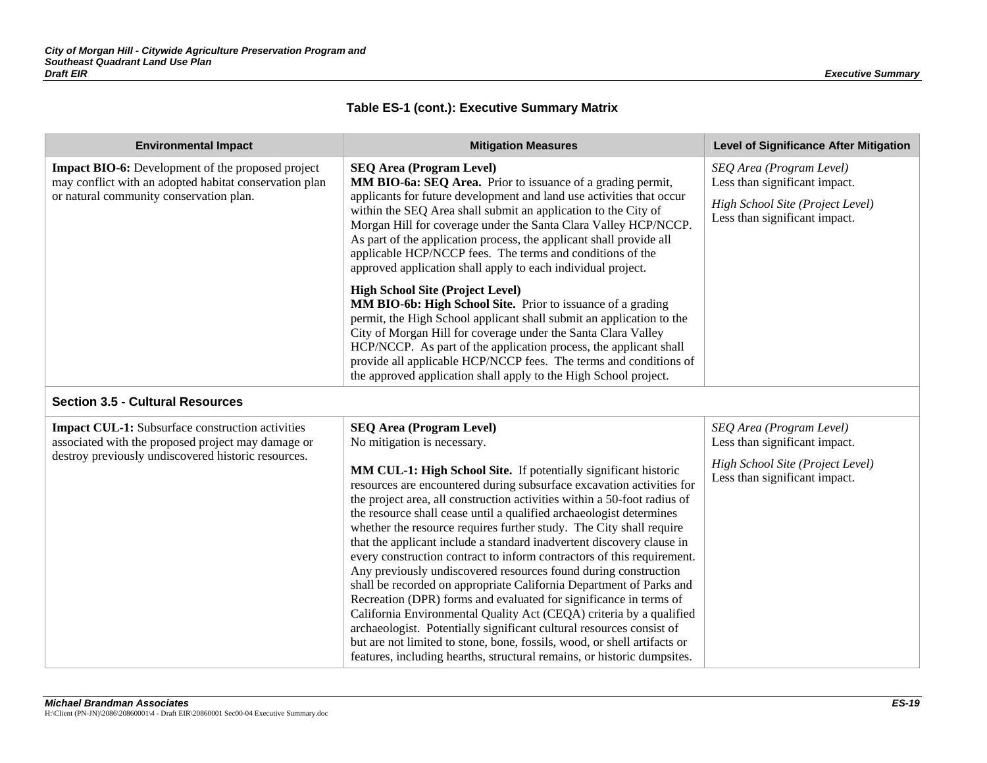| <b>Environmental Impact</b>                                                                                                                                   | <b>Mitigation Measures</b>                                                                                                                                                                                                                                                                                                                                                                                                                                                                                                                                                                                                                                                                                                                                                                                                                                                                                                                                                                                                                 | <b>Level of Significance After Mitigation</b>                                                                                  |
|---------------------------------------------------------------------------------------------------------------------------------------------------------------|--------------------------------------------------------------------------------------------------------------------------------------------------------------------------------------------------------------------------------------------------------------------------------------------------------------------------------------------------------------------------------------------------------------------------------------------------------------------------------------------------------------------------------------------------------------------------------------------------------------------------------------------------------------------------------------------------------------------------------------------------------------------------------------------------------------------------------------------------------------------------------------------------------------------------------------------------------------------------------------------------------------------------------------------|--------------------------------------------------------------------------------------------------------------------------------|
| <b>Impact BIO-6:</b> Development of the proposed project<br>may conflict with an adopted habitat conservation plan<br>or natural community conservation plan. | <b>SEQ Area (Program Level)</b><br>MM BIO-6a: SEQ Area. Prior to issuance of a grading permit,<br>applicants for future development and land use activities that occur<br>within the SEQ Area shall submit an application to the City of<br>Morgan Hill for coverage under the Santa Clara Valley HCP/NCCP.<br>As part of the application process, the applicant shall provide all<br>applicable HCP/NCCP fees. The terms and conditions of the<br>approved application shall apply to each individual project.                                                                                                                                                                                                                                                                                                                                                                                                                                                                                                                            | SEQ Area (Program Level)<br>Less than significant impact.<br>High School Site (Project Level)<br>Less than significant impact. |
|                                                                                                                                                               | <b>High School Site (Project Level)</b><br>MM BIO-6b: High School Site. Prior to issuance of a grading<br>permit, the High School applicant shall submit an application to the<br>City of Morgan Hill for coverage under the Santa Clara Valley<br>HCP/NCCP. As part of the application process, the applicant shall<br>provide all applicable HCP/NCCP fees. The terms and conditions of<br>the approved application shall apply to the High School project.                                                                                                                                                                                                                                                                                                                                                                                                                                                                                                                                                                              |                                                                                                                                |
| <b>Section 3.5 - Cultural Resources</b>                                                                                                                       |                                                                                                                                                                                                                                                                                                                                                                                                                                                                                                                                                                                                                                                                                                                                                                                                                                                                                                                                                                                                                                            |                                                                                                                                |
| <b>Impact CUL-1:</b> Subsurface construction activities<br>associated with the proposed project may damage or                                                 | <b>SEQ Area (Program Level)</b><br>No mitigation is necessary.                                                                                                                                                                                                                                                                                                                                                                                                                                                                                                                                                                                                                                                                                                                                                                                                                                                                                                                                                                             | SEQ Area (Program Level)<br>Less than significant impact.                                                                      |
| destroy previously undiscovered historic resources.                                                                                                           | MM CUL-1: High School Site. If potentially significant historic<br>resources are encountered during subsurface excavation activities for<br>the project area, all construction activities within a 50-foot radius of<br>the resource shall cease until a qualified archaeologist determines<br>whether the resource requires further study. The City shall require<br>that the applicant include a standard inadvertent discovery clause in<br>every construction contract to inform contractors of this requirement.<br>Any previously undiscovered resources found during construction<br>shall be recorded on appropriate California Department of Parks and<br>Recreation (DPR) forms and evaluated for significance in terms of<br>California Environmental Quality Act (CEQA) criteria by a qualified<br>archaeologist. Potentially significant cultural resources consist of<br>but are not limited to stone, bone, fossils, wood, or shell artifacts or<br>features, including hearths, structural remains, or historic dumpsites. | High School Site (Project Level)<br>Less than significant impact.                                                              |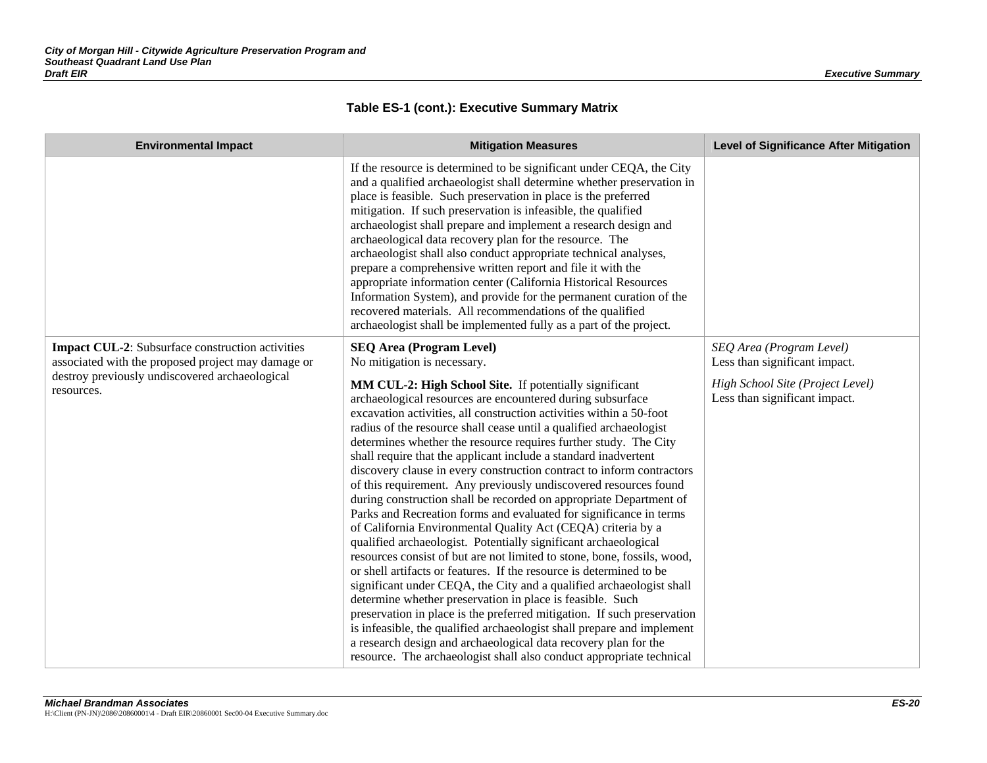| <b>Environmental Impact</b>                                                                                                                                                   | <b>Mitigation Measures</b>                                                                                                                                                                                                                                                                                                                                                                                                                                                                                                                                                                                                                                                                                                                                                                                                                                                                                                                                                                                                                                                                                                                                                                                                                                                                                                                                                                                                                                                                    | <b>Level of Significance After Mitigation</b>                                                                                  |
|-------------------------------------------------------------------------------------------------------------------------------------------------------------------------------|-----------------------------------------------------------------------------------------------------------------------------------------------------------------------------------------------------------------------------------------------------------------------------------------------------------------------------------------------------------------------------------------------------------------------------------------------------------------------------------------------------------------------------------------------------------------------------------------------------------------------------------------------------------------------------------------------------------------------------------------------------------------------------------------------------------------------------------------------------------------------------------------------------------------------------------------------------------------------------------------------------------------------------------------------------------------------------------------------------------------------------------------------------------------------------------------------------------------------------------------------------------------------------------------------------------------------------------------------------------------------------------------------------------------------------------------------------------------------------------------------|--------------------------------------------------------------------------------------------------------------------------------|
|                                                                                                                                                                               | If the resource is determined to be significant under CEQA, the City<br>and a qualified archaeologist shall determine whether preservation in<br>place is feasible. Such preservation in place is the preferred<br>mitigation. If such preservation is infeasible, the qualified<br>archaeologist shall prepare and implement a research design and<br>archaeological data recovery plan for the resource. The<br>archaeologist shall also conduct appropriate technical analyses,<br>prepare a comprehensive written report and file it with the<br>appropriate information center (California Historical Resources<br>Information System), and provide for the permanent curation of the<br>recovered materials. All recommendations of the qualified<br>archaeologist shall be implemented fully as a part of the project.                                                                                                                                                                                                                                                                                                                                                                                                                                                                                                                                                                                                                                                                 |                                                                                                                                |
| <b>Impact CUL-2:</b> Subsurface construction activities<br>associated with the proposed project may damage or<br>destroy previously undiscovered archaeological<br>resources. | <b>SEQ Area (Program Level)</b><br>No mitigation is necessary.<br>MM CUL-2: High School Site. If potentially significant<br>archaeological resources are encountered during subsurface<br>excavation activities, all construction activities within a 50-foot<br>radius of the resource shall cease until a qualified archaeologist<br>determines whether the resource requires further study. The City<br>shall require that the applicant include a standard inadvertent<br>discovery clause in every construction contract to inform contractors<br>of this requirement. Any previously undiscovered resources found<br>during construction shall be recorded on appropriate Department of<br>Parks and Recreation forms and evaluated for significance in terms<br>of California Environmental Quality Act (CEQA) criteria by a<br>qualified archaeologist. Potentially significant archaeological<br>resources consist of but are not limited to stone, bone, fossils, wood,<br>or shell artifacts or features. If the resource is determined to be<br>significant under CEQA, the City and a qualified archaeologist shall<br>determine whether preservation in place is feasible. Such<br>preservation in place is the preferred mitigation. If such preservation<br>is infeasible, the qualified archaeologist shall prepare and implement<br>a research design and archaeological data recovery plan for the<br>resource. The archaeologist shall also conduct appropriate technical | SEQ Area (Program Level)<br>Less than significant impact.<br>High School Site (Project Level)<br>Less than significant impact. |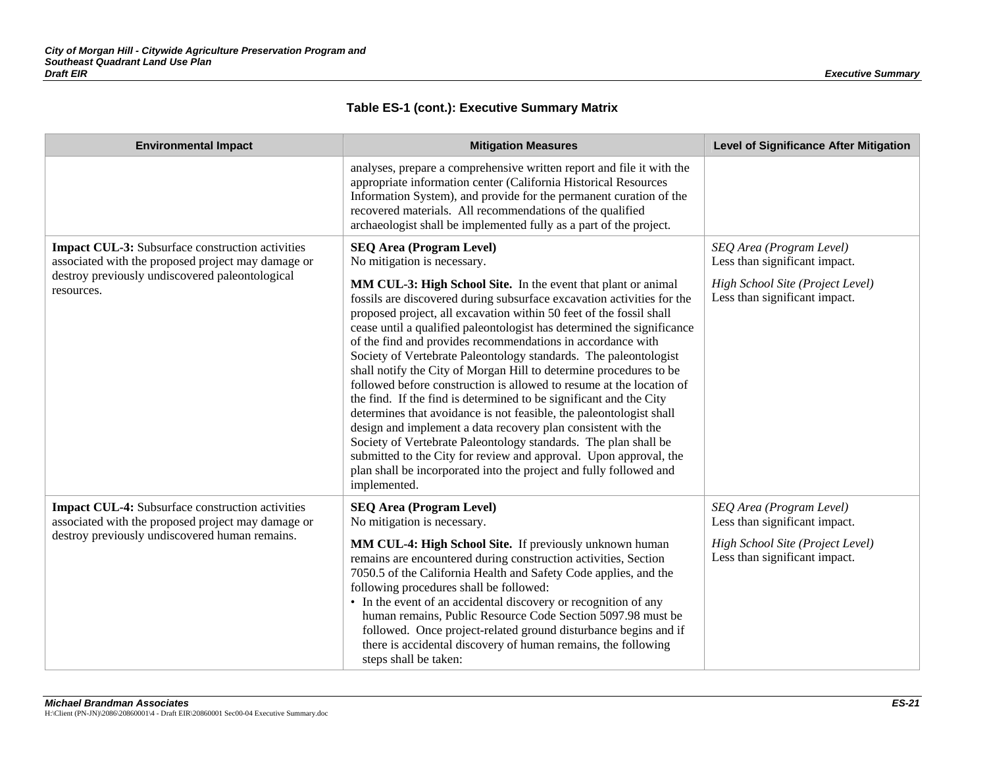| <b>Environmental Impact</b>                                                                                                                                             | <b>Mitigation Measures</b>                                                                                                                                                                                                                                                                                                                                                                                                                                                                                                                                                                                                                                                                                                                                                                                                                                                                                                                                                                                                                                                              | <b>Level of Significance After Mitigation</b>                                                                                  |
|-------------------------------------------------------------------------------------------------------------------------------------------------------------------------|-----------------------------------------------------------------------------------------------------------------------------------------------------------------------------------------------------------------------------------------------------------------------------------------------------------------------------------------------------------------------------------------------------------------------------------------------------------------------------------------------------------------------------------------------------------------------------------------------------------------------------------------------------------------------------------------------------------------------------------------------------------------------------------------------------------------------------------------------------------------------------------------------------------------------------------------------------------------------------------------------------------------------------------------------------------------------------------------|--------------------------------------------------------------------------------------------------------------------------------|
|                                                                                                                                                                         | analyses, prepare a comprehensive written report and file it with the<br>appropriate information center (California Historical Resources<br>Information System), and provide for the permanent curation of the<br>recovered materials. All recommendations of the qualified<br>archaeologist shall be implemented fully as a part of the project.                                                                                                                                                                                                                                                                                                                                                                                                                                                                                                                                                                                                                                                                                                                                       |                                                                                                                                |
| Impact CUL-3: Subsurface construction activities<br>associated with the proposed project may damage or<br>destroy previously undiscovered paleontological<br>resources. | <b>SEQ Area (Program Level)</b><br>No mitigation is necessary.<br>MM CUL-3: High School Site. In the event that plant or animal<br>fossils are discovered during subsurface excavation activities for the<br>proposed project, all excavation within 50 feet of the fossil shall<br>cease until a qualified paleontologist has determined the significance<br>of the find and provides recommendations in accordance with<br>Society of Vertebrate Paleontology standards. The paleontologist<br>shall notify the City of Morgan Hill to determine procedures to be<br>followed before construction is allowed to resume at the location of<br>the find. If the find is determined to be significant and the City<br>determines that avoidance is not feasible, the paleontologist shall<br>design and implement a data recovery plan consistent with the<br>Society of Vertebrate Paleontology standards. The plan shall be<br>submitted to the City for review and approval. Upon approval, the<br>plan shall be incorporated into the project and fully followed and<br>implemented. | SEQ Area (Program Level)<br>Less than significant impact.<br>High School Site (Project Level)<br>Less than significant impact. |
| <b>Impact CUL-4:</b> Subsurface construction activities<br>associated with the proposed project may damage or<br>destroy previously undiscovered human remains.         | <b>SEQ Area (Program Level)</b><br>No mitigation is necessary.<br>MM CUL-4: High School Site. If previously unknown human<br>remains are encountered during construction activities, Section<br>7050.5 of the California Health and Safety Code applies, and the<br>following procedures shall be followed:<br>• In the event of an accidental discovery or recognition of any<br>human remains, Public Resource Code Section 5097.98 must be<br>followed. Once project-related ground disturbance begins and if<br>there is accidental discovery of human remains, the following<br>steps shall be taken:                                                                                                                                                                                                                                                                                                                                                                                                                                                                              | SEQ Area (Program Level)<br>Less than significant impact.<br>High School Site (Project Level)<br>Less than significant impact. |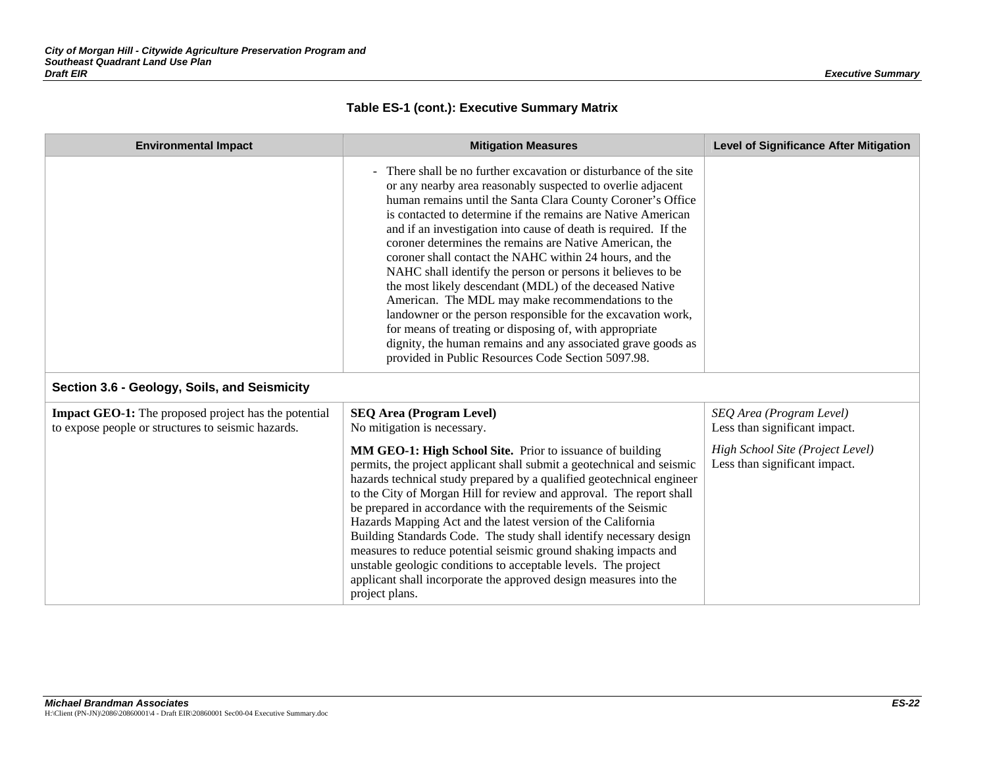| <b>Environmental Impact</b>                                                                                       | <b>Mitigation Measures</b>                                                                                                                                                                                                                                                                                                                                                                                                                                                                                                                                                                                                                                                                                                                                                                                                                                                             | <b>Level of Significance After Mitigation</b>                     |
|-------------------------------------------------------------------------------------------------------------------|----------------------------------------------------------------------------------------------------------------------------------------------------------------------------------------------------------------------------------------------------------------------------------------------------------------------------------------------------------------------------------------------------------------------------------------------------------------------------------------------------------------------------------------------------------------------------------------------------------------------------------------------------------------------------------------------------------------------------------------------------------------------------------------------------------------------------------------------------------------------------------------|-------------------------------------------------------------------|
|                                                                                                                   | There shall be no further excavation or disturbance of the site<br>or any nearby area reasonably suspected to overlie adjacent<br>human remains until the Santa Clara County Coroner's Office<br>is contacted to determine if the remains are Native American<br>and if an investigation into cause of death is required. If the<br>coroner determines the remains are Native American, the<br>coroner shall contact the NAHC within 24 hours, and the<br>NAHC shall identify the person or persons it believes to be<br>the most likely descendant (MDL) of the deceased Native<br>American. The MDL may make recommendations to the<br>landowner or the person responsible for the excavation work,<br>for means of treating or disposing of, with appropriate<br>dignity, the human remains and any associated grave goods as<br>provided in Public Resources Code Section 5097.98. |                                                                   |
| Section 3.6 - Geology, Soils, and Seismicity                                                                      |                                                                                                                                                                                                                                                                                                                                                                                                                                                                                                                                                                                                                                                                                                                                                                                                                                                                                        |                                                                   |
| <b>Impact GEO-1:</b> The proposed project has the potential<br>to expose people or structures to seismic hazards. | <b>SEQ Area (Program Level)</b><br>No mitigation is necessary.                                                                                                                                                                                                                                                                                                                                                                                                                                                                                                                                                                                                                                                                                                                                                                                                                         | SEQ Area (Program Level)<br>Less than significant impact.         |
|                                                                                                                   | MM GEO-1: High School Site. Prior to issuance of building<br>permits, the project applicant shall submit a geotechnical and seismic<br>hazards technical study prepared by a qualified geotechnical engineer<br>to the City of Morgan Hill for review and approval. The report shall<br>be prepared in accordance with the requirements of the Seismic<br>Hazards Mapping Act and the latest version of the California<br>Building Standards Code. The study shall identify necessary design<br>measures to reduce potential seismic ground shaking impacts and<br>unstable geologic conditions to acceptable levels. The project<br>applicant shall incorporate the approved design measures into the<br>project plans.                                                                                                                                                               | High School Site (Project Level)<br>Less than significant impact. |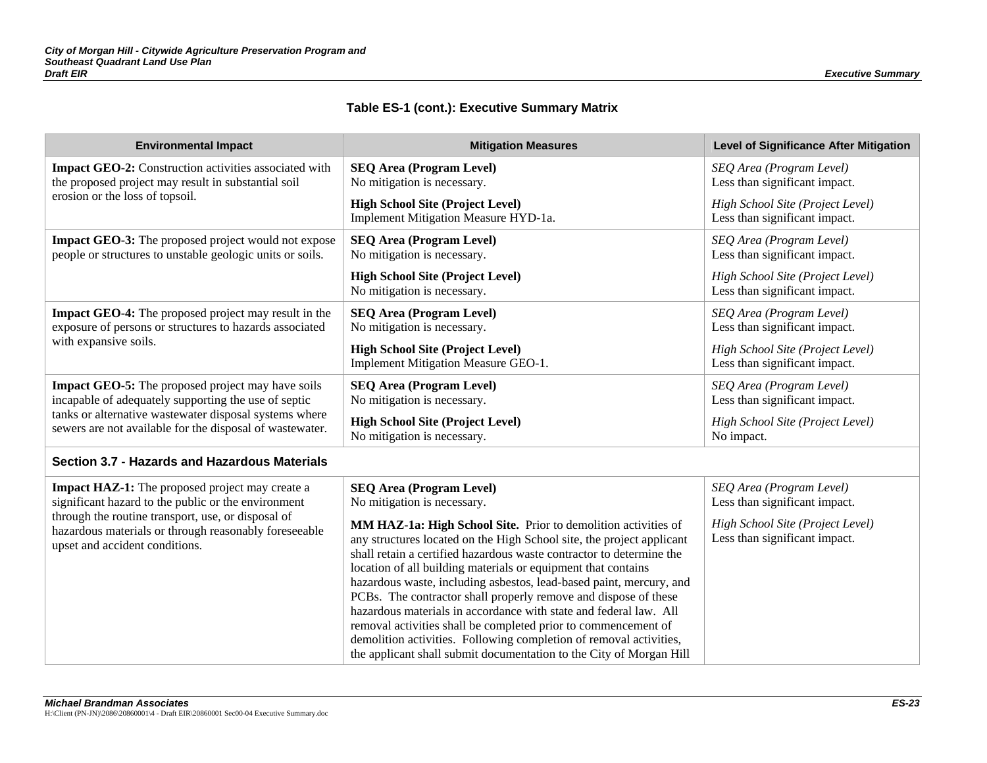| <b>Environmental Impact</b>                                                                                                                                                                                                                                    | <b>Mitigation Measures</b>                                                                                                                                                                                                                                                                                                                                                                                                                                                                                                                                                                                                                                                                                                                                                       | <b>Level of Significance After Mitigation</b>                                                                                  |
|----------------------------------------------------------------------------------------------------------------------------------------------------------------------------------------------------------------------------------------------------------------|----------------------------------------------------------------------------------------------------------------------------------------------------------------------------------------------------------------------------------------------------------------------------------------------------------------------------------------------------------------------------------------------------------------------------------------------------------------------------------------------------------------------------------------------------------------------------------------------------------------------------------------------------------------------------------------------------------------------------------------------------------------------------------|--------------------------------------------------------------------------------------------------------------------------------|
| <b>Impact GEO-2:</b> Construction activities associated with<br>the proposed project may result in substantial soil                                                                                                                                            | <b>SEQ Area (Program Level)</b><br>No mitigation is necessary.                                                                                                                                                                                                                                                                                                                                                                                                                                                                                                                                                                                                                                                                                                                   | SEQ Area (Program Level)<br>Less than significant impact.                                                                      |
| erosion or the loss of topsoil.                                                                                                                                                                                                                                | <b>High School Site (Project Level)</b><br>Implement Mitigation Measure HYD-1a.                                                                                                                                                                                                                                                                                                                                                                                                                                                                                                                                                                                                                                                                                                  | High School Site (Project Level)<br>Less than significant impact.                                                              |
| Impact GEO-3: The proposed project would not expose<br>people or structures to unstable geologic units or soils.                                                                                                                                               | <b>SEQ Area (Program Level)</b><br>No mitigation is necessary.                                                                                                                                                                                                                                                                                                                                                                                                                                                                                                                                                                                                                                                                                                                   | SEQ Area (Program Level)<br>Less than significant impact.                                                                      |
|                                                                                                                                                                                                                                                                | <b>High School Site (Project Level)</b><br>No mitigation is necessary.                                                                                                                                                                                                                                                                                                                                                                                                                                                                                                                                                                                                                                                                                                           | High School Site (Project Level)<br>Less than significant impact.                                                              |
| <b>Impact GEO-4:</b> The proposed project may result in the<br>exposure of persons or structures to hazards associated                                                                                                                                         | <b>SEQ Area (Program Level)</b><br>No mitigation is necessary.                                                                                                                                                                                                                                                                                                                                                                                                                                                                                                                                                                                                                                                                                                                   | SEQ Area (Program Level)<br>Less than significant impact.                                                                      |
| with expansive soils.                                                                                                                                                                                                                                          | <b>High School Site (Project Level)</b><br>Implement Mitigation Measure GEO-1.                                                                                                                                                                                                                                                                                                                                                                                                                                                                                                                                                                                                                                                                                                   | High School Site (Project Level)<br>Less than significant impact.                                                              |
| <b>Impact GEO-5:</b> The proposed project may have soils<br>incapable of adequately supporting the use of septic<br>tanks or alternative wastewater disposal systems where<br>sewers are not available for the disposal of wastewater.                         | <b>SEQ Area (Program Level)</b><br>No mitigation is necessary.                                                                                                                                                                                                                                                                                                                                                                                                                                                                                                                                                                                                                                                                                                                   | SEQ Area (Program Level)<br>Less than significant impact.                                                                      |
|                                                                                                                                                                                                                                                                | <b>High School Site (Project Level)</b><br>No mitigation is necessary.                                                                                                                                                                                                                                                                                                                                                                                                                                                                                                                                                                                                                                                                                                           | High School Site (Project Level)<br>No impact.                                                                                 |
| Section 3.7 - Hazards and Hazardous Materials                                                                                                                                                                                                                  |                                                                                                                                                                                                                                                                                                                                                                                                                                                                                                                                                                                                                                                                                                                                                                                  |                                                                                                                                |
| <b>Impact HAZ-1:</b> The proposed project may create a<br>significant hazard to the public or the environment<br>through the routine transport, use, or disposal of<br>hazardous materials or through reasonably foreseeable<br>upset and accident conditions. | <b>SEQ Area (Program Level)</b><br>No mitigation is necessary.<br>MM HAZ-1a: High School Site. Prior to demolition activities of<br>any structures located on the High School site, the project applicant<br>shall retain a certified hazardous waste contractor to determine the<br>location of all building materials or equipment that contains<br>hazardous waste, including asbestos, lead-based paint, mercury, and<br>PCBs. The contractor shall properly remove and dispose of these<br>hazardous materials in accordance with state and federal law. All<br>removal activities shall be completed prior to commencement of<br>demolition activities. Following completion of removal activities,<br>the applicant shall submit documentation to the City of Morgan Hill | SEQ Area (Program Level)<br>Less than significant impact.<br>High School Site (Project Level)<br>Less than significant impact. |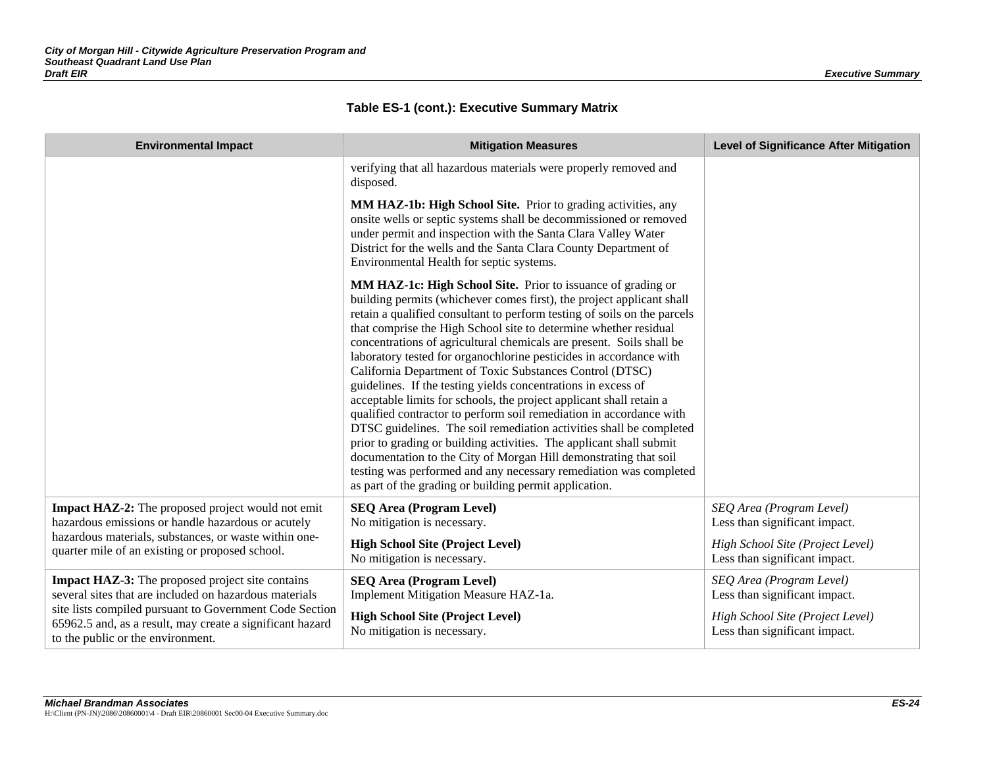|  | Table ES-1 (cont.): Executive Summary Matrix |  |  |  |  |
|--|----------------------------------------------|--|--|--|--|
|--|----------------------------------------------|--|--|--|--|

| <b>Environmental Impact</b>                                                                                                                               | <b>Mitigation Measures</b>                                                                                                                                                                                                                                                                                                                                                                                                                                                                                                                                                                                                                                                                                                                                                                                                                                                                                                                                                                                                                                      | <b>Level of Significance After Mitigation</b>                     |
|-----------------------------------------------------------------------------------------------------------------------------------------------------------|-----------------------------------------------------------------------------------------------------------------------------------------------------------------------------------------------------------------------------------------------------------------------------------------------------------------------------------------------------------------------------------------------------------------------------------------------------------------------------------------------------------------------------------------------------------------------------------------------------------------------------------------------------------------------------------------------------------------------------------------------------------------------------------------------------------------------------------------------------------------------------------------------------------------------------------------------------------------------------------------------------------------------------------------------------------------|-------------------------------------------------------------------|
|                                                                                                                                                           | verifying that all hazardous materials were properly removed and<br>disposed.                                                                                                                                                                                                                                                                                                                                                                                                                                                                                                                                                                                                                                                                                                                                                                                                                                                                                                                                                                                   |                                                                   |
|                                                                                                                                                           | MM HAZ-1b: High School Site. Prior to grading activities, any<br>onsite wells or septic systems shall be decommissioned or removed<br>under permit and inspection with the Santa Clara Valley Water<br>District for the wells and the Santa Clara County Department of<br>Environmental Health for septic systems.                                                                                                                                                                                                                                                                                                                                                                                                                                                                                                                                                                                                                                                                                                                                              |                                                                   |
|                                                                                                                                                           | MM HAZ-1c: High School Site. Prior to issuance of grading or<br>building permits (whichever comes first), the project applicant shall<br>retain a qualified consultant to perform testing of soils on the parcels<br>that comprise the High School site to determine whether residual<br>concentrations of agricultural chemicals are present. Soils shall be<br>laboratory tested for organochlorine pesticides in accordance with<br>California Department of Toxic Substances Control (DTSC)<br>guidelines. If the testing yields concentrations in excess of<br>acceptable limits for schools, the project applicant shall retain a<br>qualified contractor to perform soil remediation in accordance with<br>DTSC guidelines. The soil remediation activities shall be completed<br>prior to grading or building activities. The applicant shall submit<br>documentation to the City of Morgan Hill demonstrating that soil<br>testing was performed and any necessary remediation was completed<br>as part of the grading or building permit application. |                                                                   |
| Impact HAZ-2: The proposed project would not emit<br>hazardous emissions or handle hazardous or acutely                                                   | <b>SEQ Area (Program Level)</b><br>No mitigation is necessary.                                                                                                                                                                                                                                                                                                                                                                                                                                                                                                                                                                                                                                                                                                                                                                                                                                                                                                                                                                                                  | SEQ Area (Program Level)<br>Less than significant impact.         |
| hazardous materials, substances, or waste within one-<br>quarter mile of an existing or proposed school.                                                  | <b>High School Site (Project Level)</b><br>No mitigation is necessary.                                                                                                                                                                                                                                                                                                                                                                                                                                                                                                                                                                                                                                                                                                                                                                                                                                                                                                                                                                                          | High School Site (Project Level)<br>Less than significant impact. |
| <b>Impact HAZ-3:</b> The proposed project site contains<br>several sites that are included on hazardous materials                                         | <b>SEQ Area (Program Level)</b><br>Implement Mitigation Measure HAZ-1a.                                                                                                                                                                                                                                                                                                                                                                                                                                                                                                                                                                                                                                                                                                                                                                                                                                                                                                                                                                                         | SEQ Area (Program Level)<br>Less than significant impact.         |
| site lists compiled pursuant to Government Code Section<br>65962.5 and, as a result, may create a significant hazard<br>to the public or the environment. | <b>High School Site (Project Level)</b><br>No mitigation is necessary.                                                                                                                                                                                                                                                                                                                                                                                                                                                                                                                                                                                                                                                                                                                                                                                                                                                                                                                                                                                          | High School Site (Project Level)<br>Less than significant impact. |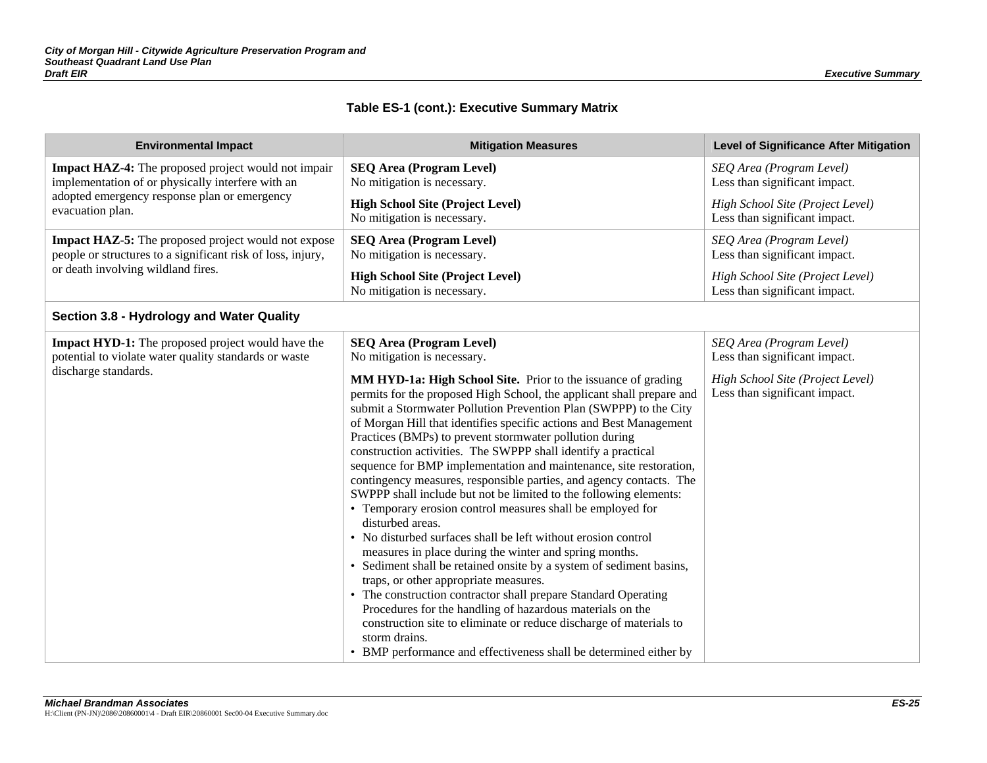| <b>Environmental Impact</b>                                                                                                               | <b>Mitigation Measures</b>                                                                                                                                                                                                                                                                                                                                                                                                                                                                                                                                                                                                                                                                                                                                                                                                                                                                                                                                                                                                                                                                                                                                                                                                                                                                                                 | <b>Level of Significance After Mitigation</b>                                                                                  |
|-------------------------------------------------------------------------------------------------------------------------------------------|----------------------------------------------------------------------------------------------------------------------------------------------------------------------------------------------------------------------------------------------------------------------------------------------------------------------------------------------------------------------------------------------------------------------------------------------------------------------------------------------------------------------------------------------------------------------------------------------------------------------------------------------------------------------------------------------------------------------------------------------------------------------------------------------------------------------------------------------------------------------------------------------------------------------------------------------------------------------------------------------------------------------------------------------------------------------------------------------------------------------------------------------------------------------------------------------------------------------------------------------------------------------------------------------------------------------------|--------------------------------------------------------------------------------------------------------------------------------|
| <b>Impact HAZ-4:</b> The proposed project would not impair<br>implementation of or physically interfere with an                           | <b>SEQ Area (Program Level)</b><br>No mitigation is necessary.                                                                                                                                                                                                                                                                                                                                                                                                                                                                                                                                                                                                                                                                                                                                                                                                                                                                                                                                                                                                                                                                                                                                                                                                                                                             | SEQ Area (Program Level)<br>Less than significant impact.                                                                      |
| adopted emergency response plan or emergency<br>evacuation plan.                                                                          | <b>High School Site (Project Level)</b><br>No mitigation is necessary.                                                                                                                                                                                                                                                                                                                                                                                                                                                                                                                                                                                                                                                                                                                                                                                                                                                                                                                                                                                                                                                                                                                                                                                                                                                     | High School Site (Project Level)<br>Less than significant impact.                                                              |
| Impact HAZ-5: The proposed project would not expose<br>people or structures to a significant risk of loss, injury,                        | <b>SEQ Area (Program Level)</b><br>No mitigation is necessary.                                                                                                                                                                                                                                                                                                                                                                                                                                                                                                                                                                                                                                                                                                                                                                                                                                                                                                                                                                                                                                                                                                                                                                                                                                                             | SEQ Area (Program Level)<br>Less than significant impact.                                                                      |
| or death involving wildland fires.                                                                                                        | <b>High School Site (Project Level)</b><br>No mitigation is necessary.                                                                                                                                                                                                                                                                                                                                                                                                                                                                                                                                                                                                                                                                                                                                                                                                                                                                                                                                                                                                                                                                                                                                                                                                                                                     | High School Site (Project Level)<br>Less than significant impact.                                                              |
| Section 3.8 - Hydrology and Water Quality                                                                                                 |                                                                                                                                                                                                                                                                                                                                                                                                                                                                                                                                                                                                                                                                                                                                                                                                                                                                                                                                                                                                                                                                                                                                                                                                                                                                                                                            |                                                                                                                                |
| <b>Impact HYD-1:</b> The proposed project would have the<br>potential to violate water quality standards or waste<br>discharge standards. | <b>SEQ Area (Program Level)</b><br>No mitigation is necessary.<br>MM HYD-1a: High School Site. Prior to the issuance of grading<br>permits for the proposed High School, the applicant shall prepare and<br>submit a Stormwater Pollution Prevention Plan (SWPPP) to the City<br>of Morgan Hill that identifies specific actions and Best Management<br>Practices (BMPs) to prevent stormwater pollution during<br>construction activities. The SWPPP shall identify a practical<br>sequence for BMP implementation and maintenance, site restoration,<br>contingency measures, responsible parties, and agency contacts. The<br>SWPPP shall include but not be limited to the following elements:<br>• Temporary erosion control measures shall be employed for<br>disturbed areas.<br>• No disturbed surfaces shall be left without erosion control<br>measures in place during the winter and spring months.<br>• Sediment shall be retained onsite by a system of sediment basins,<br>traps, or other appropriate measures.<br>• The construction contractor shall prepare Standard Operating<br>Procedures for the handling of hazardous materials on the<br>construction site to eliminate or reduce discharge of materials to<br>storm drains.<br>• BMP performance and effectiveness shall be determined either by | SEQ Area (Program Level)<br>Less than significant impact.<br>High School Site (Project Level)<br>Less than significant impact. |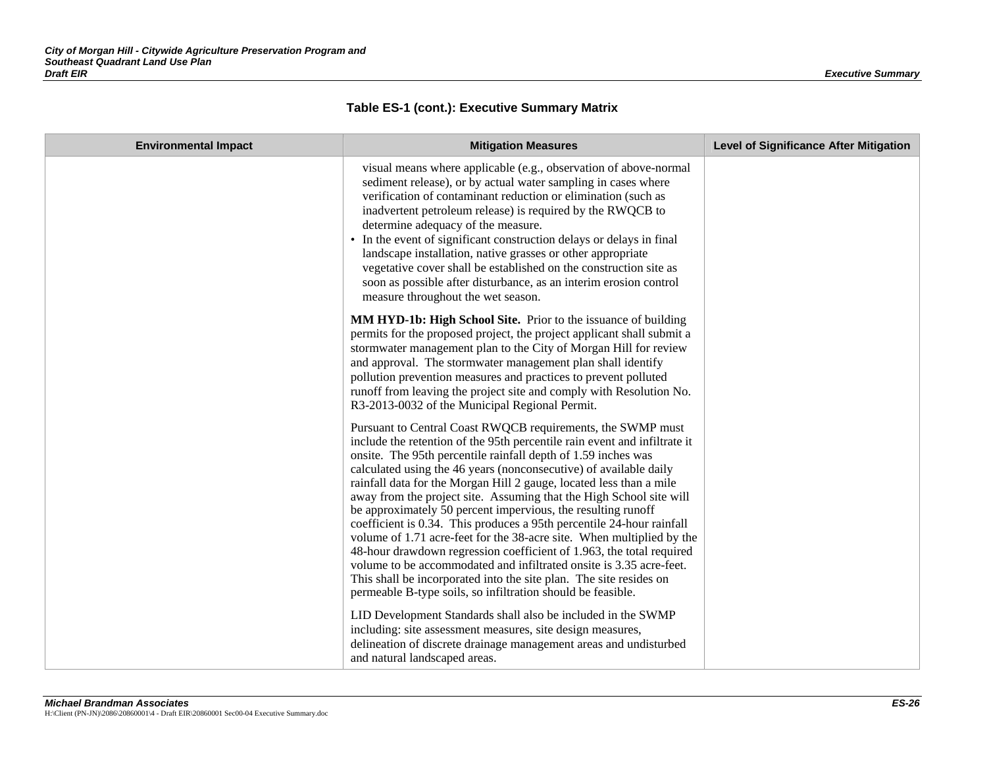| <b>Environmental Impact</b> | <b>Mitigation Measures</b>                                                                                                                                                                                                                                                                                                                                                                                                                                                                                                                                                                                                                                                                                                                                                                                                                                                                                                         | <b>Level of Significance After Mitigation</b> |
|-----------------------------|------------------------------------------------------------------------------------------------------------------------------------------------------------------------------------------------------------------------------------------------------------------------------------------------------------------------------------------------------------------------------------------------------------------------------------------------------------------------------------------------------------------------------------------------------------------------------------------------------------------------------------------------------------------------------------------------------------------------------------------------------------------------------------------------------------------------------------------------------------------------------------------------------------------------------------|-----------------------------------------------|
|                             | visual means where applicable (e.g., observation of above-normal<br>sediment release), or by actual water sampling in cases where<br>verification of contaminant reduction or elimination (such as<br>inadvertent petroleum release) is required by the RWQCB to<br>determine adequacy of the measure.<br>• In the event of significant construction delays or delays in final<br>landscape installation, native grasses or other appropriate<br>vegetative cover shall be established on the construction site as<br>soon as possible after disturbance, as an interim erosion control<br>measure throughout the wet season.                                                                                                                                                                                                                                                                                                      |                                               |
|                             | MM HYD-1b: High School Site. Prior to the issuance of building<br>permits for the proposed project, the project applicant shall submit a<br>stormwater management plan to the City of Morgan Hill for review<br>and approval. The stormwater management plan shall identify<br>pollution prevention measures and practices to prevent polluted<br>runoff from leaving the project site and comply with Resolution No.<br>R3-2013-0032 of the Municipal Regional Permit.                                                                                                                                                                                                                                                                                                                                                                                                                                                            |                                               |
|                             | Pursuant to Central Coast RWQCB requirements, the SWMP must<br>include the retention of the 95th percentile rain event and infiltrate it<br>onsite. The 95th percentile rainfall depth of 1.59 inches was<br>calculated using the 46 years (nonconsecutive) of available daily<br>rainfall data for the Morgan Hill 2 gauge, located less than a mile<br>away from the project site. Assuming that the High School site will<br>be approximately 50 percent impervious, the resulting runoff<br>coefficient is 0.34. This produces a 95th percentile 24-hour rainfall<br>volume of 1.71 acre-feet for the 38-acre site. When multiplied by the<br>48-hour drawdown regression coefficient of 1.963, the total required<br>volume to be accommodated and infiltrated onsite is 3.35 acre-feet.<br>This shall be incorporated into the site plan. The site resides on<br>permeable B-type soils, so infiltration should be feasible. |                                               |
|                             | LID Development Standards shall also be included in the SWMP<br>including: site assessment measures, site design measures,<br>delineation of discrete drainage management areas and undisturbed<br>and natural landscaped areas.                                                                                                                                                                                                                                                                                                                                                                                                                                                                                                                                                                                                                                                                                                   |                                               |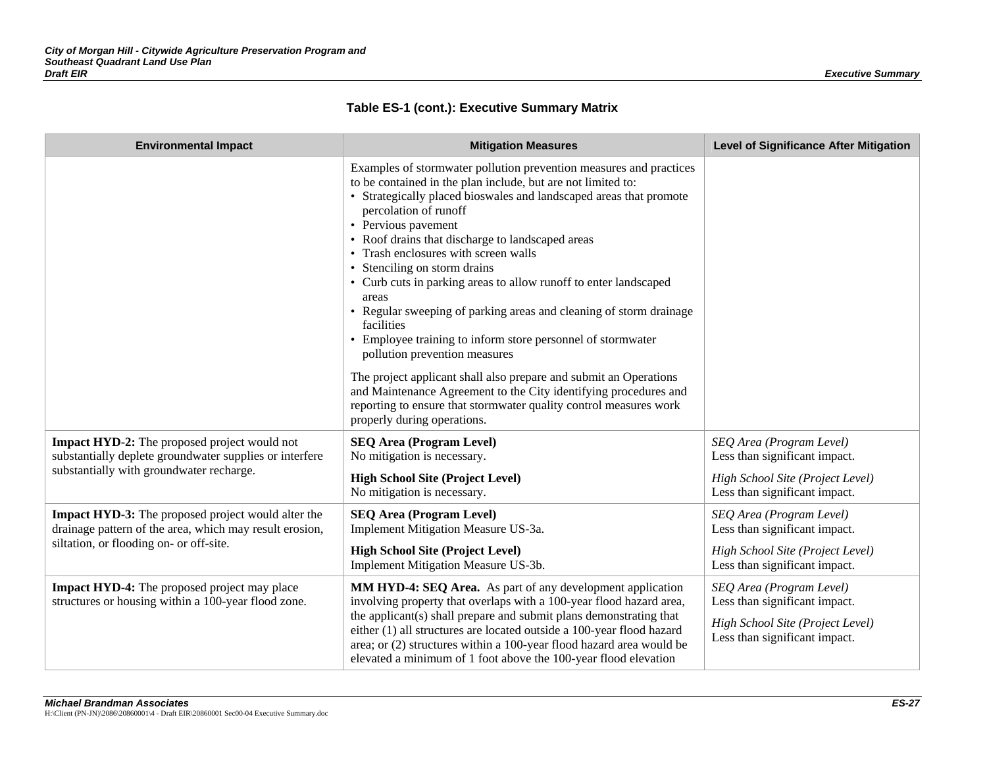| <b>Environmental Impact</b>                                                                                          | <b>Mitigation Measures</b>                                                                                                                                                                                                                                                                                                                                                                                                                                                                                                                                                                                                                            | <b>Level of Significance After Mitigation</b>                                                                                  |
|----------------------------------------------------------------------------------------------------------------------|-------------------------------------------------------------------------------------------------------------------------------------------------------------------------------------------------------------------------------------------------------------------------------------------------------------------------------------------------------------------------------------------------------------------------------------------------------------------------------------------------------------------------------------------------------------------------------------------------------------------------------------------------------|--------------------------------------------------------------------------------------------------------------------------------|
|                                                                                                                      | Examples of stormwater pollution prevention measures and practices<br>to be contained in the plan include, but are not limited to:<br>• Strategically placed bioswales and landscaped areas that promote<br>percolation of runoff<br>• Pervious pavement<br>• Roof drains that discharge to landscaped areas<br>• Trash enclosures with screen walls<br>• Stenciling on storm drains<br>• Curb cuts in parking areas to allow runoff to enter landscaped<br>areas<br>• Regular sweeping of parking areas and cleaning of storm drainage<br>facilities<br>• Employee training to inform store personnel of stormwater<br>pollution prevention measures |                                                                                                                                |
|                                                                                                                      | The project applicant shall also prepare and submit an Operations<br>and Maintenance Agreement to the City identifying procedures and<br>reporting to ensure that stormwater quality control measures work<br>properly during operations.                                                                                                                                                                                                                                                                                                                                                                                                             |                                                                                                                                |
| <b>Impact HYD-2:</b> The proposed project would not<br>substantially deplete groundwater supplies or interfere       | <b>SEQ Area (Program Level)</b><br>No mitigation is necessary.                                                                                                                                                                                                                                                                                                                                                                                                                                                                                                                                                                                        | SEQ Area (Program Level)<br>Less than significant impact.                                                                      |
| substantially with groundwater recharge.                                                                             | <b>High School Site (Project Level)</b><br>No mitigation is necessary.                                                                                                                                                                                                                                                                                                                                                                                                                                                                                                                                                                                | High School Site (Project Level)<br>Less than significant impact.                                                              |
| <b>Impact HYD-3:</b> The proposed project would alter the<br>drainage pattern of the area, which may result erosion, | <b>SEQ Area (Program Level)</b><br>Implement Mitigation Measure US-3a.                                                                                                                                                                                                                                                                                                                                                                                                                                                                                                                                                                                | SEQ Area (Program Level)<br>Less than significant impact.                                                                      |
| siltation, or flooding on- or off-site.                                                                              | <b>High School Site (Project Level)</b><br>Implement Mitigation Measure US-3b.                                                                                                                                                                                                                                                                                                                                                                                                                                                                                                                                                                        | High School Site (Project Level)<br>Less than significant impact.                                                              |
| <b>Impact HYD-4:</b> The proposed project may place<br>structures or housing within a 100-year flood zone.           | MM HYD-4: SEQ Area. As part of any development application<br>involving property that overlaps with a 100-year flood hazard area,<br>the applicant(s) shall prepare and submit plans demonstrating that<br>either (1) all structures are located outside a 100-year flood hazard<br>area; or (2) structures within a 100-year flood hazard area would be<br>elevated a minimum of 1 foot above the 100-year flood elevation                                                                                                                                                                                                                           | SEQ Area (Program Level)<br>Less than significant impact.<br>High School Site (Project Level)<br>Less than significant impact. |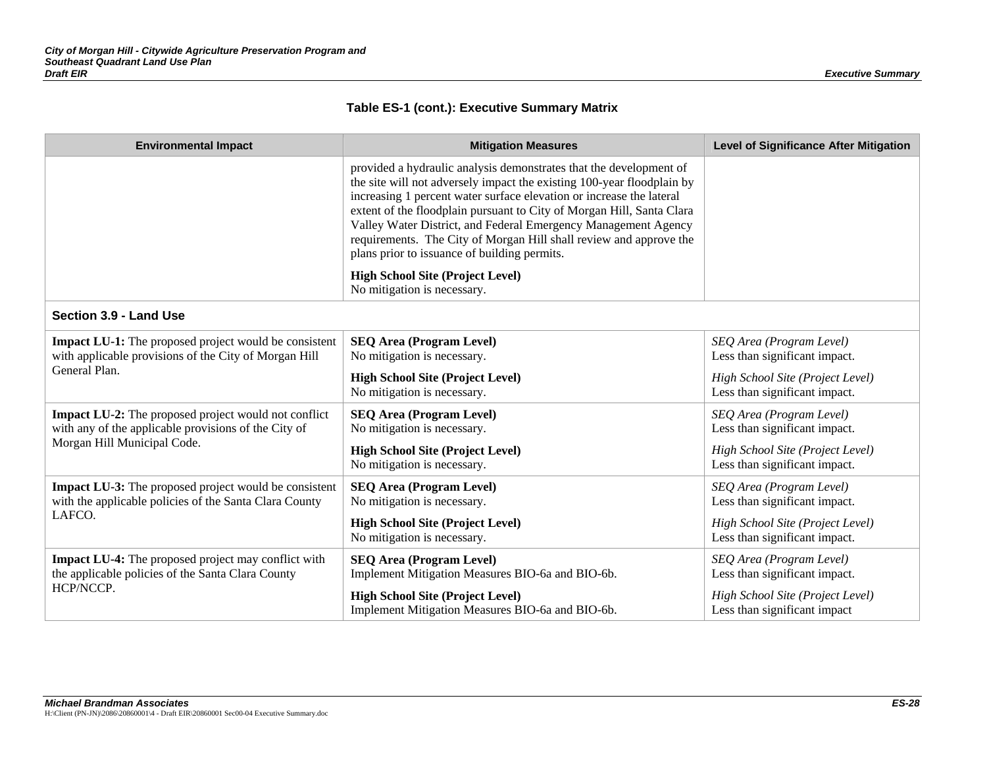| <b>Environmental Impact</b>                                                                                                                        | <b>Mitigation Measures</b>                                                                                                                                                                                                                                                                                                                                                                                                                                                            | <b>Level of Significance After Mitigation</b>                                                 |
|----------------------------------------------------------------------------------------------------------------------------------------------------|---------------------------------------------------------------------------------------------------------------------------------------------------------------------------------------------------------------------------------------------------------------------------------------------------------------------------------------------------------------------------------------------------------------------------------------------------------------------------------------|-----------------------------------------------------------------------------------------------|
|                                                                                                                                                    | provided a hydraulic analysis demonstrates that the development of<br>the site will not adversely impact the existing 100-year floodplain by<br>increasing 1 percent water surface elevation or increase the lateral<br>extent of the floodplain pursuant to City of Morgan Hill, Santa Clara<br>Valley Water District, and Federal Emergency Management Agency<br>requirements. The City of Morgan Hill shall review and approve the<br>plans prior to issuance of building permits. |                                                                                               |
|                                                                                                                                                    | <b>High School Site (Project Level)</b><br>No mitigation is necessary.                                                                                                                                                                                                                                                                                                                                                                                                                |                                                                                               |
| Section 3.9 - Land Use                                                                                                                             |                                                                                                                                                                                                                                                                                                                                                                                                                                                                                       |                                                                                               |
| <b>Impact LU-1:</b> The proposed project would be consistent<br>with applicable provisions of the City of Morgan Hill<br>General Plan.             | <b>SEQ Area (Program Level)</b><br>No mitigation is necessary.<br><b>High School Site (Project Level)</b>                                                                                                                                                                                                                                                                                                                                                                             | SEQ Area (Program Level)<br>Less than significant impact.<br>High School Site (Project Level) |
|                                                                                                                                                    | No mitigation is necessary.                                                                                                                                                                                                                                                                                                                                                                                                                                                           | Less than significant impact.                                                                 |
| <b>Impact LU-2:</b> The proposed project would not conflict<br>with any of the applicable provisions of the City of<br>Morgan Hill Municipal Code. | <b>SEQ Area (Program Level)</b><br>No mitigation is necessary.                                                                                                                                                                                                                                                                                                                                                                                                                        | SEQ Area (Program Level)<br>Less than significant impact.                                     |
|                                                                                                                                                    | <b>High School Site (Project Level)</b><br>No mitigation is necessary.                                                                                                                                                                                                                                                                                                                                                                                                                | High School Site (Project Level)<br>Less than significant impact.                             |
| <b>Impact LU-3:</b> The proposed project would be consistent<br>with the applicable policies of the Santa Clara County                             | <b>SEQ Area (Program Level)</b><br>No mitigation is necessary.                                                                                                                                                                                                                                                                                                                                                                                                                        | SEQ Area (Program Level)<br>Less than significant impact.                                     |
| LAFCO.                                                                                                                                             | <b>High School Site (Project Level)</b><br>No mitigation is necessary.                                                                                                                                                                                                                                                                                                                                                                                                                | High School Site (Project Level)<br>Less than significant impact.                             |
| <b>Impact LU-4:</b> The proposed project may conflict with<br>the applicable policies of the Santa Clara County<br>HCP/NCCP.                       | <b>SEQ Area (Program Level)</b><br>Implement Mitigation Measures BIO-6a and BIO-6b.                                                                                                                                                                                                                                                                                                                                                                                                   | SEQ Area (Program Level)<br>Less than significant impact.                                     |
|                                                                                                                                                    | <b>High School Site (Project Level)</b><br>Implement Mitigation Measures BIO-6a and BIO-6b.                                                                                                                                                                                                                                                                                                                                                                                           | High School Site (Project Level)<br>Less than significant impact                              |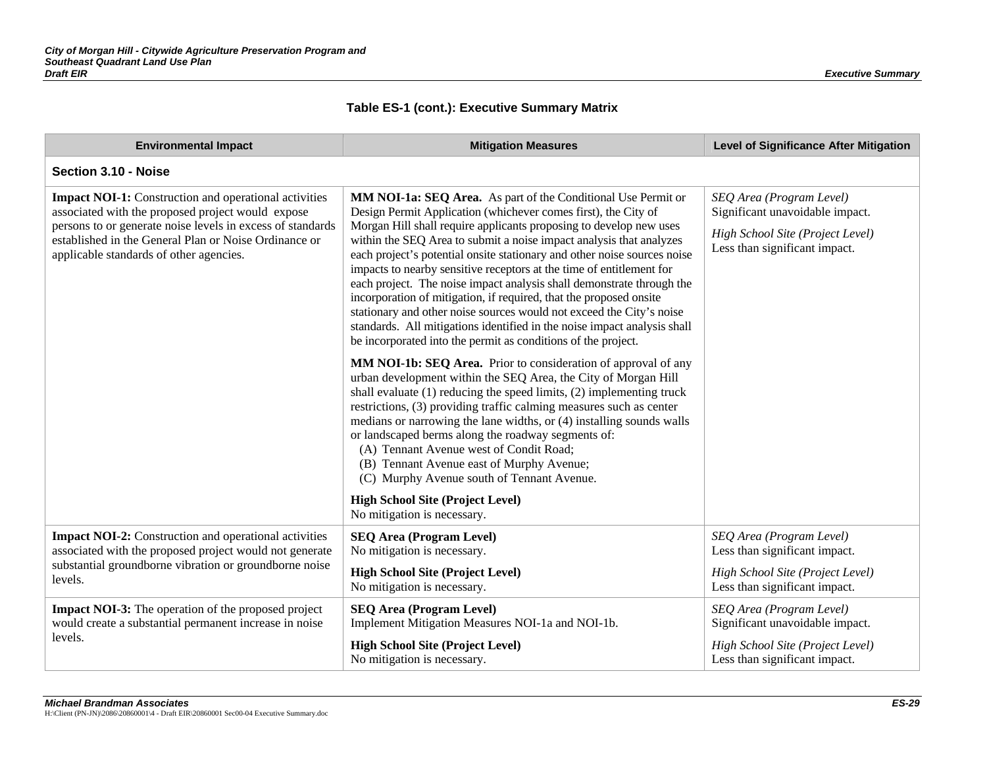| <b>Environmental Impact</b>                                                                                                                                                                                                                                                         | <b>Mitigation Measures</b>                                                                                                                                                                                                                                                                                                                                                                                                                                                                                                                                                                                                                                                                                                                                                                                                                                                                                                                                                                                                                                                                                                                                                                                                                                                                                                                                                                                                                | <b>Level of Significance After Mitigation</b>                                                                                    |
|-------------------------------------------------------------------------------------------------------------------------------------------------------------------------------------------------------------------------------------------------------------------------------------|-------------------------------------------------------------------------------------------------------------------------------------------------------------------------------------------------------------------------------------------------------------------------------------------------------------------------------------------------------------------------------------------------------------------------------------------------------------------------------------------------------------------------------------------------------------------------------------------------------------------------------------------------------------------------------------------------------------------------------------------------------------------------------------------------------------------------------------------------------------------------------------------------------------------------------------------------------------------------------------------------------------------------------------------------------------------------------------------------------------------------------------------------------------------------------------------------------------------------------------------------------------------------------------------------------------------------------------------------------------------------------------------------------------------------------------------|----------------------------------------------------------------------------------------------------------------------------------|
| Section 3.10 - Noise                                                                                                                                                                                                                                                                |                                                                                                                                                                                                                                                                                                                                                                                                                                                                                                                                                                                                                                                                                                                                                                                                                                                                                                                                                                                                                                                                                                                                                                                                                                                                                                                                                                                                                                           |                                                                                                                                  |
| <b>Impact NOI-1:</b> Construction and operational activities<br>associated with the proposed project would expose<br>persons to or generate noise levels in excess of standards<br>established in the General Plan or Noise Ordinance or<br>applicable standards of other agencies. | MM NOI-1a: SEQ Area. As part of the Conditional Use Permit or<br>Design Permit Application (whichever comes first), the City of<br>Morgan Hill shall require applicants proposing to develop new uses<br>within the SEQ Area to submit a noise impact analysis that analyzes<br>each project's potential onsite stationary and other noise sources noise<br>impacts to nearby sensitive receptors at the time of entitlement for<br>each project. The noise impact analysis shall demonstrate through the<br>incorporation of mitigation, if required, that the proposed onsite<br>stationary and other noise sources would not exceed the City's noise<br>standards. All mitigations identified in the noise impact analysis shall<br>be incorporated into the permit as conditions of the project.<br>MM NOI-1b: SEQ Area. Prior to consideration of approval of any<br>urban development within the SEQ Area, the City of Morgan Hill<br>shall evaluate $(1)$ reducing the speed limits, $(2)$ implementing truck<br>restrictions, (3) providing traffic calming measures such as center<br>medians or narrowing the lane widths, or (4) installing sounds walls<br>or landscaped berms along the roadway segments of:<br>(A) Tennant Avenue west of Condit Road;<br>(B) Tennant Avenue east of Murphy Avenue;<br>(C) Murphy Avenue south of Tennant Avenue.<br><b>High School Site (Project Level)</b><br>No mitigation is necessary. | SEQ Area (Program Level)<br>Significant unavoidable impact.<br>High School Site (Project Level)<br>Less than significant impact. |
| <b>Impact NOI-2:</b> Construction and operational activities<br>associated with the proposed project would not generate<br>substantial groundborne vibration or groundborne noise<br>levels.                                                                                        | <b>SEQ Area (Program Level)</b><br>No mitigation is necessary.<br><b>High School Site (Project Level)</b><br>No mitigation is necessary.                                                                                                                                                                                                                                                                                                                                                                                                                                                                                                                                                                                                                                                                                                                                                                                                                                                                                                                                                                                                                                                                                                                                                                                                                                                                                                  | SEQ Area (Program Level)<br>Less than significant impact.<br>High School Site (Project Level)<br>Less than significant impact.   |
| <b>Impact NOI-3:</b> The operation of the proposed project<br>would create a substantial permanent increase in noise<br>levels.                                                                                                                                                     | <b>SEQ Area (Program Level)</b><br>Implement Mitigation Measures NOI-1a and NOI-1b.<br><b>High School Site (Project Level)</b><br>No mitigation is necessary.                                                                                                                                                                                                                                                                                                                                                                                                                                                                                                                                                                                                                                                                                                                                                                                                                                                                                                                                                                                                                                                                                                                                                                                                                                                                             | SEQ Area (Program Level)<br>Significant unavoidable impact.<br>High School Site (Project Level)<br>Less than significant impact. |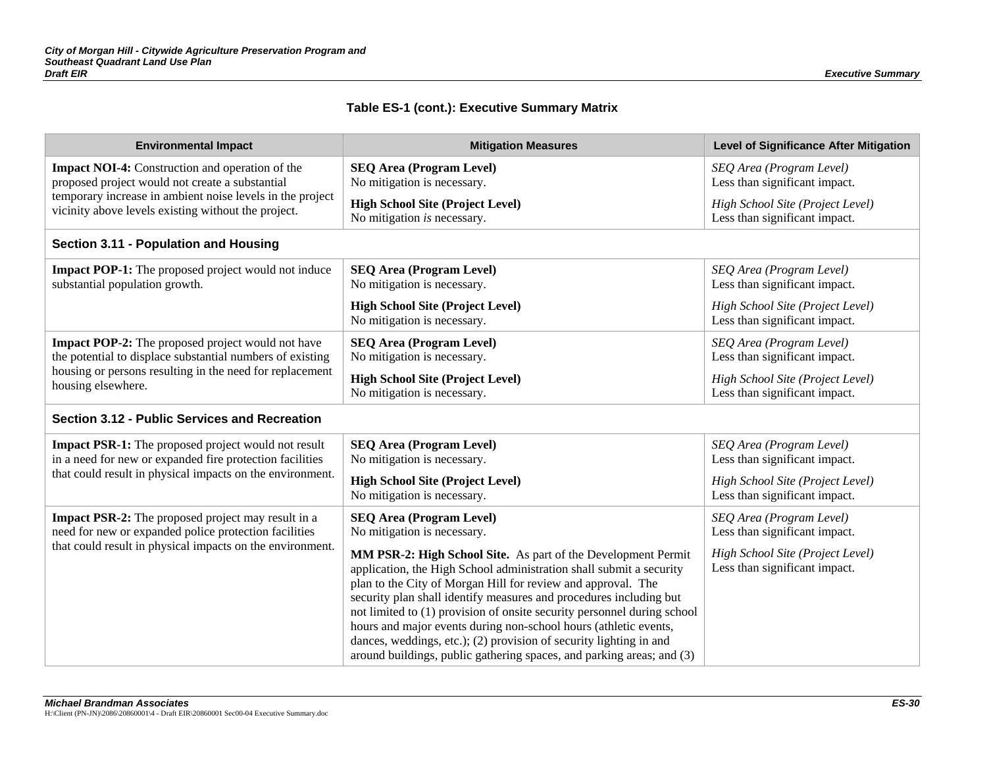| <b>Environmental Impact</b>                                                                                                                                                  | <b>Mitigation Measures</b>                                                                                                                                                                                                                                                                                                                                                                                                                                                                                                                                               | <b>Level of Significance After Mitigation</b>                     |  |
|------------------------------------------------------------------------------------------------------------------------------------------------------------------------------|--------------------------------------------------------------------------------------------------------------------------------------------------------------------------------------------------------------------------------------------------------------------------------------------------------------------------------------------------------------------------------------------------------------------------------------------------------------------------------------------------------------------------------------------------------------------------|-------------------------------------------------------------------|--|
| <b>Impact NOI-4:</b> Construction and operation of the<br>proposed project would not create a substantial                                                                    | <b>SEQ Area (Program Level)</b><br>No mitigation is necessary.                                                                                                                                                                                                                                                                                                                                                                                                                                                                                                           | SEQ Area (Program Level)<br>Less than significant impact.         |  |
| temporary increase in ambient noise levels in the project<br>vicinity above levels existing without the project.                                                             | <b>High School Site (Project Level)</b><br>No mitigation is necessary.                                                                                                                                                                                                                                                                                                                                                                                                                                                                                                   | High School Site (Project Level)<br>Less than significant impact. |  |
| Section 3.11 - Population and Housing                                                                                                                                        |                                                                                                                                                                                                                                                                                                                                                                                                                                                                                                                                                                          |                                                                   |  |
| <b>Impact POP-1:</b> The proposed project would not induce<br>substantial population growth.                                                                                 | <b>SEQ Area (Program Level)</b><br>No mitigation is necessary.                                                                                                                                                                                                                                                                                                                                                                                                                                                                                                           | SEQ Area (Program Level)<br>Less than significant impact.         |  |
|                                                                                                                                                                              | <b>High School Site (Project Level)</b><br>No mitigation is necessary.                                                                                                                                                                                                                                                                                                                                                                                                                                                                                                   | High School Site (Project Level)<br>Less than significant impact. |  |
| <b>Impact POP-2:</b> The proposed project would not have<br>the potential to displace substantial numbers of existing                                                        | <b>SEQ Area (Program Level)</b><br>No mitigation is necessary.                                                                                                                                                                                                                                                                                                                                                                                                                                                                                                           | SEQ Area (Program Level)<br>Less than significant impact.         |  |
| housing or persons resulting in the need for replacement<br>housing elsewhere.                                                                                               | <b>High School Site (Project Level)</b><br>No mitigation is necessary.                                                                                                                                                                                                                                                                                                                                                                                                                                                                                                   | High School Site (Project Level)<br>Less than significant impact. |  |
| Section 3.12 - Public Services and Recreation                                                                                                                                |                                                                                                                                                                                                                                                                                                                                                                                                                                                                                                                                                                          |                                                                   |  |
| Impact PSR-1: The proposed project would not result<br>in a need for new or expanded fire protection facilities<br>that could result in physical impacts on the environment. | <b>SEQ Area (Program Level)</b><br>No mitigation is necessary.                                                                                                                                                                                                                                                                                                                                                                                                                                                                                                           | SEQ Area (Program Level)<br>Less than significant impact.         |  |
|                                                                                                                                                                              | <b>High School Site (Project Level)</b><br>No mitigation is necessary.                                                                                                                                                                                                                                                                                                                                                                                                                                                                                                   | High School Site (Project Level)<br>Less than significant impact. |  |
| Impact PSR-2: The proposed project may result in a<br>need for new or expanded police protection facilities                                                                  | <b>SEQ Area (Program Level)</b><br>No mitigation is necessary.                                                                                                                                                                                                                                                                                                                                                                                                                                                                                                           | SEQ Area (Program Level)<br>Less than significant impact.         |  |
| that could result in physical impacts on the environment.                                                                                                                    | MM PSR-2: High School Site. As part of the Development Permit<br>application, the High School administration shall submit a security<br>plan to the City of Morgan Hill for review and approval. The<br>security plan shall identify measures and procedures including but<br>not limited to (1) provision of onsite security personnel during school<br>hours and major events during non-school hours (athletic events,<br>dances, weddings, etc.); (2) provision of security lighting in and<br>around buildings, public gathering spaces, and parking areas; and (3) | High School Site (Project Level)<br>Less than significant impact. |  |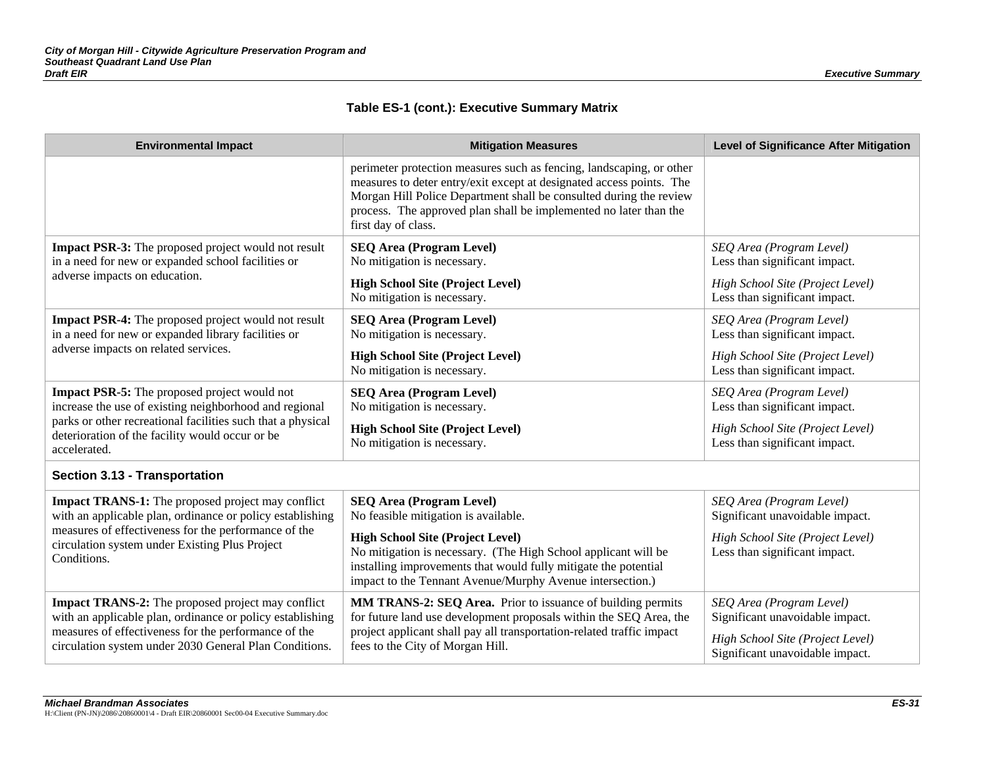| <b>Environmental Impact</b>                                                                                                                                                                                                             | <b>Mitigation Measures</b>                                                                                                                                                                                                                                                                                     | <b>Level of Significance After Mitigation</b>                                                                                      |
|-----------------------------------------------------------------------------------------------------------------------------------------------------------------------------------------------------------------------------------------|----------------------------------------------------------------------------------------------------------------------------------------------------------------------------------------------------------------------------------------------------------------------------------------------------------------|------------------------------------------------------------------------------------------------------------------------------------|
|                                                                                                                                                                                                                                         | perimeter protection measures such as fencing, landscaping, or other<br>measures to deter entry/exit except at designated access points. The<br>Morgan Hill Police Department shall be consulted during the review<br>process. The approved plan shall be implemented no later than the<br>first day of class. |                                                                                                                                    |
| Impact PSR-3: The proposed project would not result<br>in a need for new or expanded school facilities or<br>adverse impacts on education.                                                                                              | <b>SEQ Area (Program Level)</b><br>No mitigation is necessary.<br><b>High School Site (Project Level)</b>                                                                                                                                                                                                      | SEQ Area (Program Level)<br>Less than significant impact.<br>High School Site (Project Level)                                      |
|                                                                                                                                                                                                                                         | No mitigation is necessary.                                                                                                                                                                                                                                                                                    | Less than significant impact.                                                                                                      |
| Impact PSR-4: The proposed project would not result<br>in a need for new or expanded library facilities or                                                                                                                              | <b>SEQ Area (Program Level)</b><br>No mitigation is necessary.                                                                                                                                                                                                                                                 | SEQ Area (Program Level)<br>Less than significant impact.                                                                          |
| adverse impacts on related services.                                                                                                                                                                                                    | <b>High School Site (Project Level)</b><br>No mitigation is necessary.                                                                                                                                                                                                                                         | High School Site (Project Level)<br>Less than significant impact.                                                                  |
| <b>Impact PSR-5:</b> The proposed project would not<br>increase the use of existing neighborhood and regional<br>parks or other recreational facilities such that a physical                                                            | <b>SEQ Area (Program Level)</b><br>No mitigation is necessary.                                                                                                                                                                                                                                                 | SEQ Area (Program Level)<br>Less than significant impact.                                                                          |
| deterioration of the facility would occur or be<br>accelerated.                                                                                                                                                                         | <b>High School Site (Project Level)</b><br>No mitigation is necessary.                                                                                                                                                                                                                                         | High School Site (Project Level)<br>Less than significant impact.                                                                  |
| <b>Section 3.13 - Transportation</b>                                                                                                                                                                                                    |                                                                                                                                                                                                                                                                                                                |                                                                                                                                    |
| Impact TRANS-1: The proposed project may conflict<br>with an applicable plan, ordinance or policy establishing                                                                                                                          | <b>SEQ Area (Program Level)</b><br>No feasible mitigation is available.                                                                                                                                                                                                                                        | SEQ Area (Program Level)<br>Significant unavoidable impact.                                                                        |
| measures of effectiveness for the performance of the<br>circulation system under Existing Plus Project<br>Conditions.                                                                                                                   | <b>High School Site (Project Level)</b><br>No mitigation is necessary. (The High School applicant will be<br>installing improvements that would fully mitigate the potential<br>impact to the Tennant Avenue/Murphy Avenue intersection.)                                                                      | High School Site (Project Level)<br>Less than significant impact.                                                                  |
| <b>Impact TRANS-2:</b> The proposed project may conflict<br>with an applicable plan, ordinance or policy establishing<br>measures of effectiveness for the performance of the<br>circulation system under 2030 General Plan Conditions. | MM TRANS-2: SEQ Area. Prior to issuance of building permits<br>for future land use development proposals within the SEQ Area, the<br>project applicant shall pay all transportation-related traffic impact<br>fees to the City of Morgan Hill.                                                                 | SEQ Area (Program Level)<br>Significant unavoidable impact.<br>High School Site (Project Level)<br>Significant unavoidable impact. |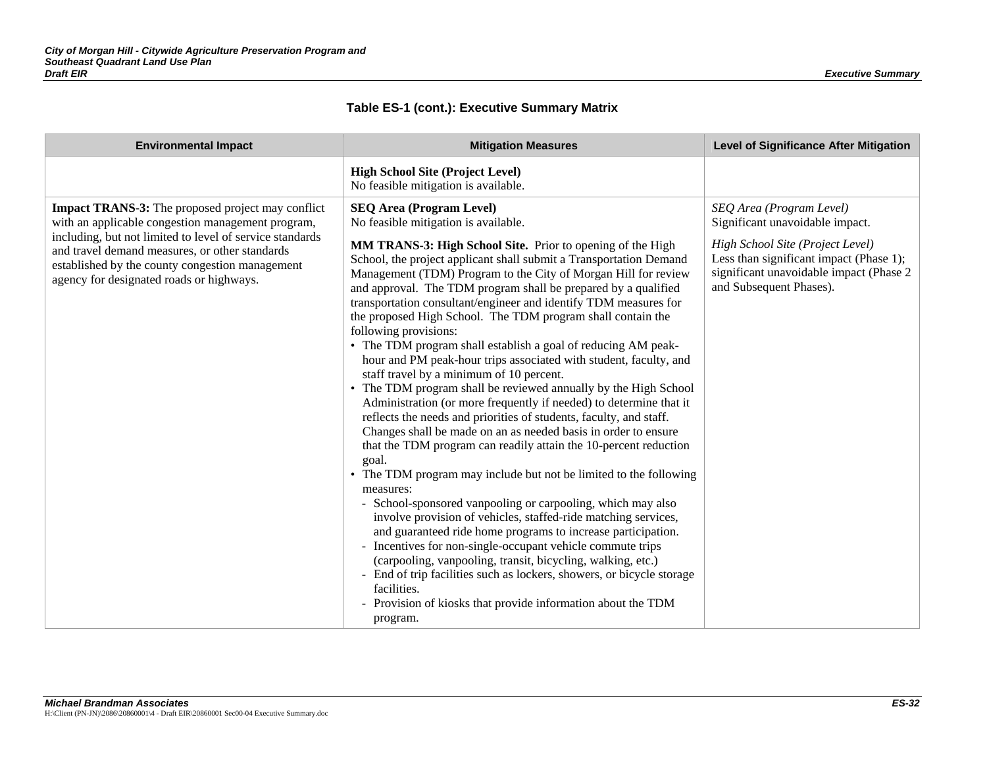| <b>Environmental Impact</b>                                                                                                                                                                                                                                                                                                | <b>Mitigation Measures</b>                                                                                                                                                                                                                                                                                                                                                                                                                                                                                                                                                                                                                                                                                                                                                                                                                                                                                                                                                                                                                                                                                                                                                                                                                                                                                                                                                                                                                                                                                                                                                                                                                           | <b>Level of Significance After Mitigation</b>                                                                                                                                                                    |
|----------------------------------------------------------------------------------------------------------------------------------------------------------------------------------------------------------------------------------------------------------------------------------------------------------------------------|------------------------------------------------------------------------------------------------------------------------------------------------------------------------------------------------------------------------------------------------------------------------------------------------------------------------------------------------------------------------------------------------------------------------------------------------------------------------------------------------------------------------------------------------------------------------------------------------------------------------------------------------------------------------------------------------------------------------------------------------------------------------------------------------------------------------------------------------------------------------------------------------------------------------------------------------------------------------------------------------------------------------------------------------------------------------------------------------------------------------------------------------------------------------------------------------------------------------------------------------------------------------------------------------------------------------------------------------------------------------------------------------------------------------------------------------------------------------------------------------------------------------------------------------------------------------------------------------------------------------------------------------------|------------------------------------------------------------------------------------------------------------------------------------------------------------------------------------------------------------------|
|                                                                                                                                                                                                                                                                                                                            | <b>High School Site (Project Level)</b><br>No feasible mitigation is available.                                                                                                                                                                                                                                                                                                                                                                                                                                                                                                                                                                                                                                                                                                                                                                                                                                                                                                                                                                                                                                                                                                                                                                                                                                                                                                                                                                                                                                                                                                                                                                      |                                                                                                                                                                                                                  |
| <b>Impact TRANS-3:</b> The proposed project may conflict<br>with an applicable congestion management program,<br>including, but not limited to level of service standards<br>and travel demand measures, or other standards<br>established by the county congestion management<br>agency for designated roads or highways. | <b>SEQ Area (Program Level)</b><br>No feasible mitigation is available.<br><b>MM TRANS-3: High School Site.</b> Prior to opening of the High<br>School, the project applicant shall submit a Transportation Demand<br>Management (TDM) Program to the City of Morgan Hill for review<br>and approval. The TDM program shall be prepared by a qualified<br>transportation consultant/engineer and identify TDM measures for<br>the proposed High School. The TDM program shall contain the<br>following provisions:<br>• The TDM program shall establish a goal of reducing AM peak-<br>hour and PM peak-hour trips associated with student, faculty, and<br>staff travel by a minimum of 10 percent.<br>The TDM program shall be reviewed annually by the High School<br>Administration (or more frequently if needed) to determine that it<br>reflects the needs and priorities of students, faculty, and staff.<br>Changes shall be made on an as needed basis in order to ensure<br>that the TDM program can readily attain the 10-percent reduction<br>goal.<br>• The TDM program may include but not be limited to the following<br>measures:<br>- School-sponsored vanpooling or carpooling, which may also<br>involve provision of vehicles, staffed-ride matching services,<br>and guaranteed ride home programs to increase participation.<br>- Incentives for non-single-occupant vehicle commute trips<br>(carpooling, vanpooling, transit, bicycling, walking, etc.)<br>- End of trip facilities such as lockers, showers, or bicycle storage<br>facilities.<br>- Provision of kiosks that provide information about the TDM<br>program. | SEQ Area (Program Level)<br>Significant unavoidable impact.<br>High School Site (Project Level)<br>Less than significant impact (Phase 1);<br>significant unavoidable impact (Phase 2<br>and Subsequent Phases). |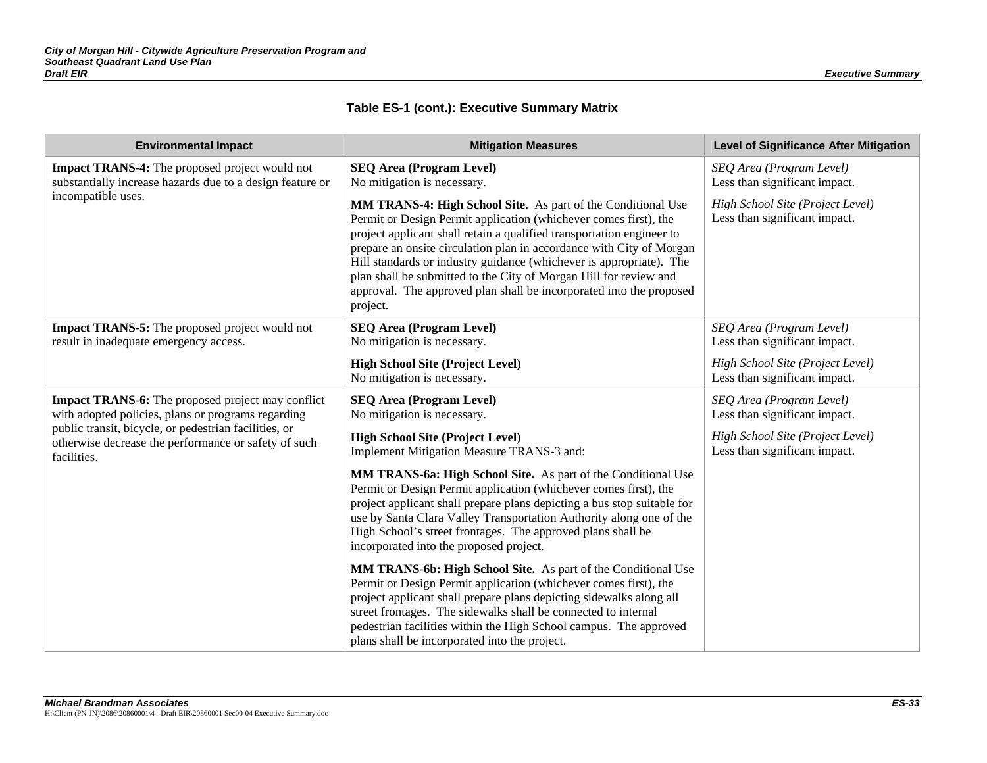| <b>Environmental Impact</b>                                                                                                  | <b>Mitigation Measures</b>                                                                                                                                                                                                                                                                                                                                                                                                                                                                                       | <b>Level of Significance After Mitigation</b>                     |
|------------------------------------------------------------------------------------------------------------------------------|------------------------------------------------------------------------------------------------------------------------------------------------------------------------------------------------------------------------------------------------------------------------------------------------------------------------------------------------------------------------------------------------------------------------------------------------------------------------------------------------------------------|-------------------------------------------------------------------|
| <b>Impact TRANS-4:</b> The proposed project would not<br>substantially increase hazards due to a design feature or           | <b>SEQ Area (Program Level)</b><br>No mitigation is necessary.                                                                                                                                                                                                                                                                                                                                                                                                                                                   | SEQ Area (Program Level)<br>Less than significant impact.         |
| incompatible uses.                                                                                                           | MM TRANS-4: High School Site. As part of the Conditional Use<br>Permit or Design Permit application (whichever comes first), the<br>project applicant shall retain a qualified transportation engineer to<br>prepare an onsite circulation plan in accordance with City of Morgan<br>Hill standards or industry guidance (whichever is appropriate). The<br>plan shall be submitted to the City of Morgan Hill for review and<br>approval. The approved plan shall be incorporated into the proposed<br>project. | High School Site (Project Level)<br>Less than significant impact. |
| <b>Impact TRANS-5:</b> The proposed project would not<br>result in inadequate emergency access.                              | <b>SEQ Area (Program Level)</b><br>No mitigation is necessary.                                                                                                                                                                                                                                                                                                                                                                                                                                                   | SEQ Area (Program Level)<br>Less than significant impact.         |
|                                                                                                                              | <b>High School Site (Project Level)</b><br>No mitigation is necessary.                                                                                                                                                                                                                                                                                                                                                                                                                                           | High School Site (Project Level)<br>Less than significant impact. |
| <b>Impact TRANS-6:</b> The proposed project may conflict<br>with adopted policies, plans or programs regarding               | <b>SEQ Area (Program Level)</b><br>No mitigation is necessary.                                                                                                                                                                                                                                                                                                                                                                                                                                                   | SEQ Area (Program Level)<br>Less than significant impact.         |
| public transit, bicycle, or pedestrian facilities, or<br>otherwise decrease the performance or safety of such<br>facilities. | <b>High School Site (Project Level)</b><br>Implement Mitigation Measure TRANS-3 and:                                                                                                                                                                                                                                                                                                                                                                                                                             | High School Site (Project Level)<br>Less than significant impact. |
|                                                                                                                              | MM TRANS-6a: High School Site. As part of the Conditional Use<br>Permit or Design Permit application (whichever comes first), the<br>project applicant shall prepare plans depicting a bus stop suitable for<br>use by Santa Clara Valley Transportation Authority along one of the<br>High School's street frontages. The approved plans shall be<br>incorporated into the proposed project.                                                                                                                    |                                                                   |
|                                                                                                                              | MM TRANS-6b: High School Site. As part of the Conditional Use<br>Permit or Design Permit application (whichever comes first), the<br>project applicant shall prepare plans depicting sidewalks along all<br>street frontages. The sidewalks shall be connected to internal<br>pedestrian facilities within the High School campus. The approved<br>plans shall be incorporated into the project.                                                                                                                 |                                                                   |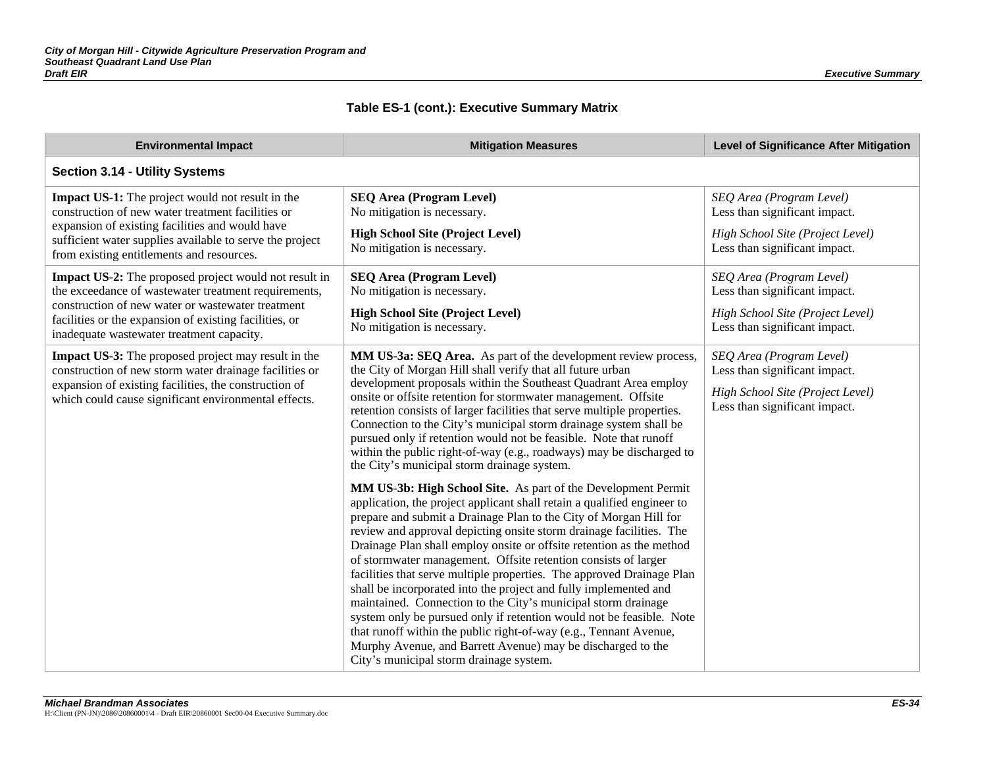| <b>Environmental Impact</b>                                                                                                                                                                                                                                               | <b>Mitigation Measures</b>                                                                                                                                                                                                                                                                                                                                                                                                                                                                                                                                                                                                                                                                                                                                                                                                                                                                          | <b>Level of Significance After Mitigation</b>                                                                                  |  |
|---------------------------------------------------------------------------------------------------------------------------------------------------------------------------------------------------------------------------------------------------------------------------|-----------------------------------------------------------------------------------------------------------------------------------------------------------------------------------------------------------------------------------------------------------------------------------------------------------------------------------------------------------------------------------------------------------------------------------------------------------------------------------------------------------------------------------------------------------------------------------------------------------------------------------------------------------------------------------------------------------------------------------------------------------------------------------------------------------------------------------------------------------------------------------------------------|--------------------------------------------------------------------------------------------------------------------------------|--|
| Section 3.14 - Utility Systems                                                                                                                                                                                                                                            |                                                                                                                                                                                                                                                                                                                                                                                                                                                                                                                                                                                                                                                                                                                                                                                                                                                                                                     |                                                                                                                                |  |
| Impact US-1: The project would not result in the<br>construction of new water treatment facilities or<br>expansion of existing facilities and would have<br>sufficient water supplies available to serve the project<br>from existing entitlements and resources.         | <b>SEQ Area (Program Level)</b><br>No mitigation is necessary.<br><b>High School Site (Project Level)</b><br>No mitigation is necessary.                                                                                                                                                                                                                                                                                                                                                                                                                                                                                                                                                                                                                                                                                                                                                            | SEQ Area (Program Level)<br>Less than significant impact.<br>High School Site (Project Level)<br>Less than significant impact. |  |
| Impact US-2: The proposed project would not result in<br>the exceedance of wastewater treatment requirements,<br>construction of new water or wastewater treatment<br>facilities or the expansion of existing facilities, or<br>inadequate wastewater treatment capacity. | <b>SEQ Area (Program Level)</b><br>No mitigation is necessary.<br><b>High School Site (Project Level)</b><br>No mitigation is necessary.                                                                                                                                                                                                                                                                                                                                                                                                                                                                                                                                                                                                                                                                                                                                                            | SEQ Area (Program Level)<br>Less than significant impact.<br>High School Site (Project Level)<br>Less than significant impact. |  |
| <b>Impact US-3:</b> The proposed project may result in the<br>construction of new storm water drainage facilities or<br>expansion of existing facilities, the construction of<br>which could cause significant environmental effects.                                     | MM US-3a: SEQ Area. As part of the development review process,<br>the City of Morgan Hill shall verify that all future urban<br>development proposals within the Southeast Quadrant Area employ<br>onsite or offsite retention for stormwater management. Offsite<br>retention consists of larger facilities that serve multiple properties.<br>Connection to the City's municipal storm drainage system shall be<br>pursued only if retention would not be feasible. Note that runoff<br>within the public right-of-way (e.g., roadways) may be discharged to<br>the City's municipal storm drainage system.                                                                                                                                                                                                                                                                                       | SEQ Area (Program Level)<br>Less than significant impact.<br>High School Site (Project Level)<br>Less than significant impact. |  |
|                                                                                                                                                                                                                                                                           | MM US-3b: High School Site. As part of the Development Permit<br>application, the project applicant shall retain a qualified engineer to<br>prepare and submit a Drainage Plan to the City of Morgan Hill for<br>review and approval depicting onsite storm drainage facilities. The<br>Drainage Plan shall employ onsite or offsite retention as the method<br>of stormwater management. Offsite retention consists of larger<br>facilities that serve multiple properties. The approved Drainage Plan<br>shall be incorporated into the project and fully implemented and<br>maintained. Connection to the City's municipal storm drainage<br>system only be pursued only if retention would not be feasible. Note<br>that runoff within the public right-of-way (e.g., Tennant Avenue,<br>Murphy Avenue, and Barrett Avenue) may be discharged to the<br>City's municipal storm drainage system. |                                                                                                                                |  |